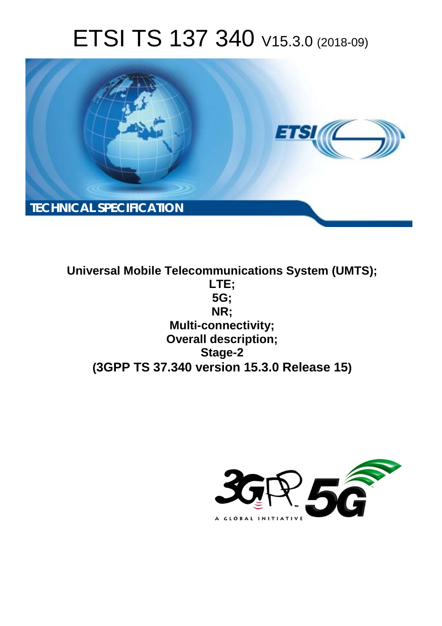# ETSI TS 137 340 V15.3.0 (2018-09)



**Universal Mobile Telecommunications System (UMTS); LTE; 5G; NR; Multi-connectivity; Overall description; Stage-2 (3GPP TS 37.340 version 15.3.0 Release 15)**

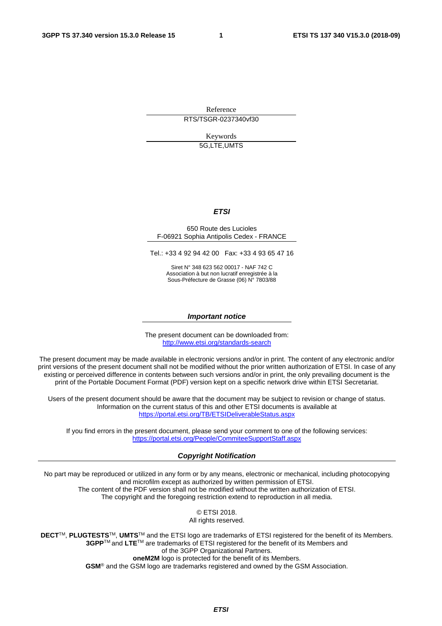Reference RTS/TSGR-0237340vf30

Keywords

5G,LTE,UMTS

#### *ETSI*

#### 650 Route des Lucioles F-06921 Sophia Antipolis Cedex - FRANCE

Tel.: +33 4 92 94 42 00 Fax: +33 4 93 65 47 16

Siret N° 348 623 562 00017 - NAF 742 C Association à but non lucratif enregistrée à la Sous-Préfecture de Grasse (06) N° 7803/88

#### *Important notice*

The present document can be downloaded from: <http://www.etsi.org/standards-search>

The present document may be made available in electronic versions and/or in print. The content of any electronic and/or print versions of the present document shall not be modified without the prior written authorization of ETSI. In case of any existing or perceived difference in contents between such versions and/or in print, the only prevailing document is the print of the Portable Document Format (PDF) version kept on a specific network drive within ETSI Secretariat.

Users of the present document should be aware that the document may be subject to revision or change of status. Information on the current status of this and other ETSI documents is available at <https://portal.etsi.org/TB/ETSIDeliverableStatus.aspx>

If you find errors in the present document, please send your comment to one of the following services: <https://portal.etsi.org/People/CommiteeSupportStaff.aspx>

#### *Copyright Notification*

No part may be reproduced or utilized in any form or by any means, electronic or mechanical, including photocopying and microfilm except as authorized by written permission of ETSI. The content of the PDF version shall not be modified without the written authorization of ETSI. The copyright and the foregoing restriction extend to reproduction in all media.

> © ETSI 2018. All rights reserved.

**DECT**TM, **PLUGTESTS**TM, **UMTS**TM and the ETSI logo are trademarks of ETSI registered for the benefit of its Members. **3GPP**TM and **LTE**TM are trademarks of ETSI registered for the benefit of its Members and of the 3GPP Organizational Partners. **oneM2M** logo is protected for the benefit of its Members.

**GSM**® and the GSM logo are trademarks registered and owned by the GSM Association.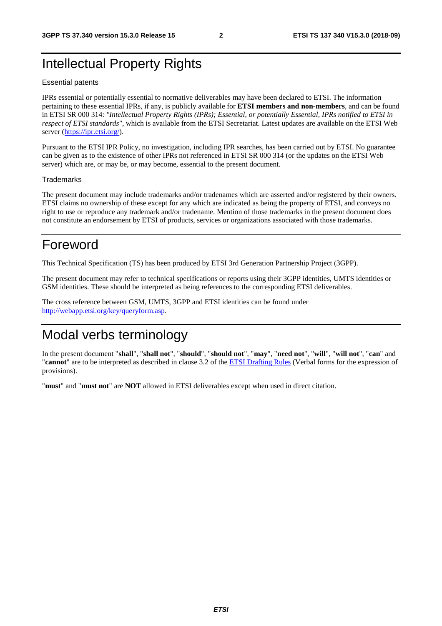## Intellectual Property Rights

#### Essential patents

IPRs essential or potentially essential to normative deliverables may have been declared to ETSI. The information pertaining to these essential IPRs, if any, is publicly available for **ETSI members and non-members**, and can be found in ETSI SR 000 314: *"Intellectual Property Rights (IPRs); Essential, or potentially Essential, IPRs notified to ETSI in respect of ETSI standards"*, which is available from the ETSI Secretariat. Latest updates are available on the ETSI Web server ([https://ipr.etsi.org/\)](https://ipr.etsi.org/).

Pursuant to the ETSI IPR Policy, no investigation, including IPR searches, has been carried out by ETSI. No guarantee can be given as to the existence of other IPRs not referenced in ETSI SR 000 314 (or the updates on the ETSI Web server) which are, or may be, or may become, essential to the present document.

#### **Trademarks**

The present document may include trademarks and/or tradenames which are asserted and/or registered by their owners. ETSI claims no ownership of these except for any which are indicated as being the property of ETSI, and conveys no right to use or reproduce any trademark and/or tradename. Mention of those trademarks in the present document does not constitute an endorsement by ETSI of products, services or organizations associated with those trademarks.

## Foreword

This Technical Specification (TS) has been produced by ETSI 3rd Generation Partnership Project (3GPP).

The present document may refer to technical specifications or reports using their 3GPP identities, UMTS identities or GSM identities. These should be interpreted as being references to the corresponding ETSI deliverables.

The cross reference between GSM, UMTS, 3GPP and ETSI identities can be found under [http://webapp.etsi.org/key/queryform.asp.](http://webapp.etsi.org/key/queryform.asp)

## Modal verbs terminology

In the present document "**shall**", "**shall not**", "**should**", "**should not**", "**may**", "**need not**", "**will**", "**will not**", "**can**" and "**cannot**" are to be interpreted as described in clause 3.2 of the [ETSI Drafting Rules](https://portal.etsi.org/Services/editHelp!/Howtostart/ETSIDraftingRules.aspx) (Verbal forms for the expression of provisions).

"**must**" and "**must not**" are **NOT** allowed in ETSI deliverables except when used in direct citation.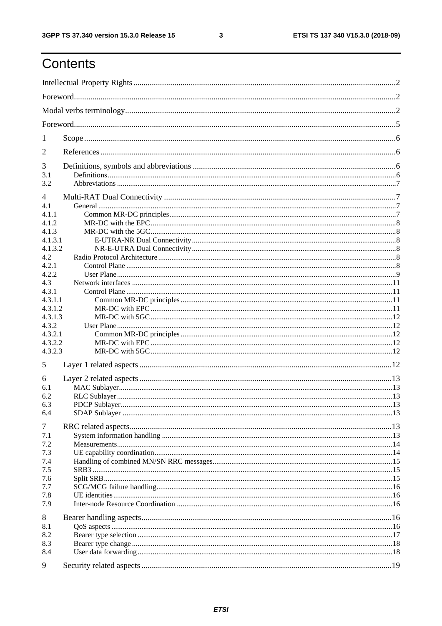## Contents

| 1       |  |  |  |  |  |  |
|---------|--|--|--|--|--|--|
| 2       |  |  |  |  |  |  |
| 3       |  |  |  |  |  |  |
| 3.1     |  |  |  |  |  |  |
| 3.2     |  |  |  |  |  |  |
| 4       |  |  |  |  |  |  |
| 4.1     |  |  |  |  |  |  |
| 4.1.1   |  |  |  |  |  |  |
| 4.1.2   |  |  |  |  |  |  |
| 4.1.3   |  |  |  |  |  |  |
| 4.1.3.1 |  |  |  |  |  |  |
| 4.1.3.2 |  |  |  |  |  |  |
| 4.2     |  |  |  |  |  |  |
| 4.2.1   |  |  |  |  |  |  |
| 4.2.2   |  |  |  |  |  |  |
| 4.3     |  |  |  |  |  |  |
| 4.3.1   |  |  |  |  |  |  |
| 4.3.1.1 |  |  |  |  |  |  |
| 4.3.1.2 |  |  |  |  |  |  |
| 4.3.1.3 |  |  |  |  |  |  |
| 4.3.2   |  |  |  |  |  |  |
| 4.3.2.1 |  |  |  |  |  |  |
| 4.3.2.2 |  |  |  |  |  |  |
| 4.3.2.3 |  |  |  |  |  |  |
| 5       |  |  |  |  |  |  |
| 6       |  |  |  |  |  |  |
| 6.1     |  |  |  |  |  |  |
| 6.2     |  |  |  |  |  |  |
| 6.3     |  |  |  |  |  |  |
| 6.4     |  |  |  |  |  |  |
| 7       |  |  |  |  |  |  |
| 7.1     |  |  |  |  |  |  |
| 7.2     |  |  |  |  |  |  |
| 7.3     |  |  |  |  |  |  |
| 7.4     |  |  |  |  |  |  |
| 7.5     |  |  |  |  |  |  |
| 7.6     |  |  |  |  |  |  |
| 7.7     |  |  |  |  |  |  |
| 7.8     |  |  |  |  |  |  |
| 7.9     |  |  |  |  |  |  |
| 8       |  |  |  |  |  |  |
| 8.1     |  |  |  |  |  |  |
| 8.2     |  |  |  |  |  |  |
| 8.3     |  |  |  |  |  |  |
| 8.4     |  |  |  |  |  |  |
|         |  |  |  |  |  |  |
| 9       |  |  |  |  |  |  |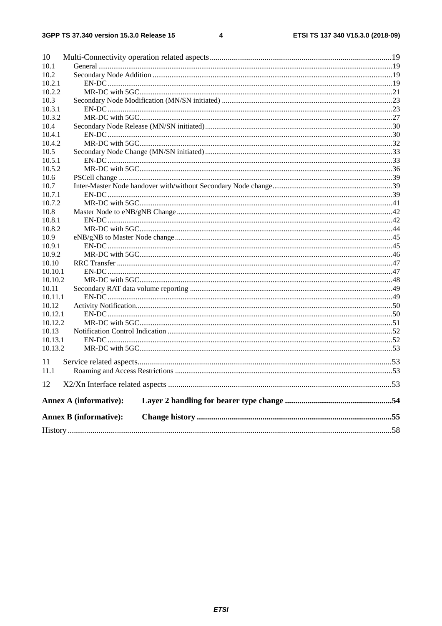#### $\overline{\mathbf{4}}$

| 10      |                               |  |
|---------|-------------------------------|--|
| 10.1    |                               |  |
| 10.2    |                               |  |
| 10.2.1  |                               |  |
| 10.2.2  |                               |  |
| 10.3    |                               |  |
| 10.3.1  |                               |  |
| 10.3.2  |                               |  |
| 10.4    |                               |  |
| 10.4.1  |                               |  |
| 10.4.2  |                               |  |
| 10.5    |                               |  |
| 10.5.1  |                               |  |
| 10.5.2  |                               |  |
| 10.6    |                               |  |
| 10.7    |                               |  |
| 10.7.1  |                               |  |
| 10.7.2  |                               |  |
| 10.8    |                               |  |
| 10.8.1  |                               |  |
| 10.8.2  |                               |  |
| 10.9    |                               |  |
| 10.9.1  |                               |  |
| 10.9.2  |                               |  |
| 10.10   |                               |  |
| 10.10.1 |                               |  |
| 10.10.2 |                               |  |
| 10.11   |                               |  |
| 10.11.1 |                               |  |
| 10.12   |                               |  |
| 10.12.1 |                               |  |
| 10.12.2 |                               |  |
| 10.13   |                               |  |
| 10.13.1 |                               |  |
| 10.13.2 |                               |  |
| 11      |                               |  |
| 11.1    |                               |  |
| 12      |                               |  |
|         | <b>Annex A (informative):</b> |  |
|         | <b>Annex B (informative):</b> |  |
|         |                               |  |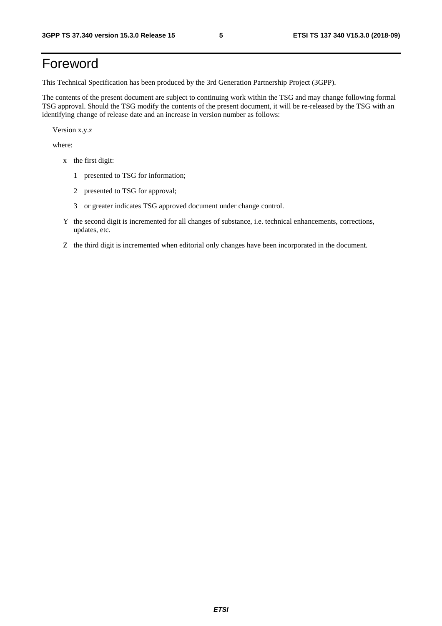## Foreword

This Technical Specification has been produced by the 3rd Generation Partnership Project (3GPP).

The contents of the present document are subject to continuing work within the TSG and may change following formal TSG approval. Should the TSG modify the contents of the present document, it will be re-released by the TSG with an identifying change of release date and an increase in version number as follows:

Version x.y.z

where:

- x the first digit:
	- 1 presented to TSG for information;
	- 2 presented to TSG for approval;
	- 3 or greater indicates TSG approved document under change control.
- Y the second digit is incremented for all changes of substance, i.e. technical enhancements, corrections, updates, etc.
- Z the third digit is incremented when editorial only changes have been incorporated in the document.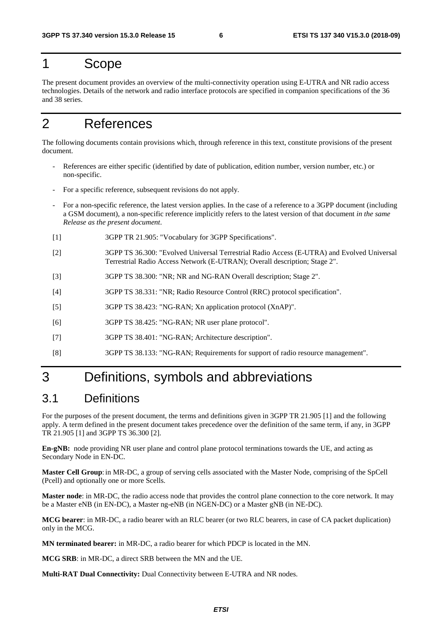## 1 Scope

The present document provides an overview of the multi-connectivity operation using E-UTRA and NR radio access technologies. Details of the network and radio interface protocols are specified in companion specifications of the 36 and 38 series.

## 2 References

The following documents contain provisions which, through reference in this text, constitute provisions of the present document.

- References are either specific (identified by date of publication, edition number, version number, etc.) or non-specific.
- For a specific reference, subsequent revisions do not apply.
- For a non-specific reference, the latest version applies. In the case of a reference to a 3GPP document (including a GSM document), a non-specific reference implicitly refers to the latest version of that document *in the same Release as the present document*.
- [1] 3GPP TR 21.905: "Vocabulary for 3GPP Specifications".
- [2] 3GPP TS 36.300: "Evolved Universal Terrestrial Radio Access (E-UTRA) and Evolved Universal Terrestrial Radio Access Network (E-UTRAN); Overall description; Stage 2".
- [3] 3GPP TS 38.300: "NR; NR and NG-RAN Overall description; Stage 2".
- [4] 3GPP TS 38.331: "NR; Radio Resource Control (RRC) protocol specification".
- [5] 3GPP TS 38.423: "NG-RAN; Xn application protocol (XnAP)".
- [6] 3GPP TS 38.425: "NG-RAN; NR user plane protocol".
- [7] 3GPP TS 38.401: "NG-RAN; Architecture description".
- [8] 3GPP TS 38.133: "NG-RAN; Requirements for support of radio resource management".

## 3 Definitions, symbols and abbreviations

### 3.1 Definitions

For the purposes of the present document, the terms and definitions given in 3GPP TR 21.905 [1] and the following apply. A term defined in the present document takes precedence over the definition of the same term, if any, in 3GPP TR 21.905 [1] and 3GPP TS 36.300 [2].

**En-gNB:** node providing NR user plane and control plane protocol terminations towards the UE, and acting as Secondary Node in EN-DC.

**Master Cell Group**: in MR-DC, a group of serving cells associated with the Master Node, comprising of the SpCell (Pcell) and optionally one or more Scells.

**Master node**: in MR-DC, the radio access node that provides the control plane connection to the core network. It may be a Master eNB (in EN-DC), a Master ng-eNB (in NGEN-DC) or a Master gNB (in NE-DC).

**MCG bearer**: in MR-DC, a radio bearer with an RLC bearer (or two RLC bearers, in case of CA packet duplication) only in the MCG.

**MN terminated bearer:** in MR-DC, a radio bearer for which PDCP is located in the MN.

**MCG SRB**: in MR-DC, a direct SRB between the MN and the UE.

**Multi-RAT Dual Connectivity:** Dual Connectivity between E-UTRA and NR nodes.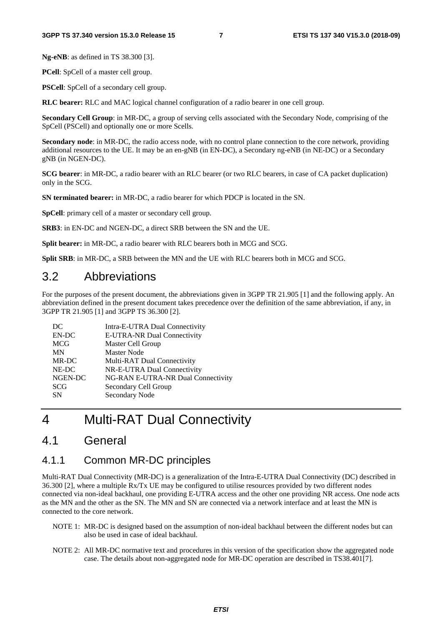**Ng-eNB**: as defined in TS 38.300 [3].

**PCell**: SpCell of a master cell group.

**PSCell**: SpCell of a secondary cell group.

**RLC bearer:** RLC and MAC logical channel configuration of a radio bearer in one cell group.

**Secondary Cell Group**: in MR-DC, a group of serving cells associated with the Secondary Node, comprising of the SpCell (PSCell) and optionally one or more Scells.

**Secondary node**: in MR-DC, the radio access node, with no control plane connection to the core network, providing additional resources to the UE. It may be an en-gNB (in EN-DC), a Secondary ng-eNB (in NE-DC) or a Secondary gNB (in NGEN-DC).

**SCG bearer**: in MR-DC, a radio bearer with an RLC bearer (or two RLC bearers, in case of CA packet duplication) only in the SCG.

**SN terminated bearer:** in MR-DC, a radio bearer for which PDCP is located in the SN.

**SpCell**: primary cell of a master or secondary cell group.

**SRB3**: in EN-DC and NGEN-DC, a direct SRB between the SN and the UE.

**Split bearer:** in MR-DC, a radio bearer with RLC bearers both in MCG and SCG.

**Split SRB**: in MR-DC, a SRB between the MN and the UE with RLC bearers both in MCG and SCG.

### 3.2 Abbreviations

For the purposes of the present document, the abbreviations given in 3GPP TR 21.905 [1] and the following apply. An abbreviation defined in the present document takes precedence over the definition of the same abbreviation, if any, in 3GPP TR 21.905 [1] and 3GPP TS 36.300 [2].

| DC         | Intra-E-UTRA Dual Connectivity     |
|------------|------------------------------------|
| EN-DC      | E-UTRA-NR Dual Connectivity        |
| <b>MCG</b> | Master Cell Group                  |
| <b>MN</b>  | Master Node                        |
| MR-DC      | Multi-RAT Dual Connectivity        |
| NE-DC      | NR-E-UTRA Dual Connectivity        |
| NGEN-DC    | NG-RAN E-UTRA-NR Dual Connectivity |
| <b>SCG</b> | Secondary Cell Group               |
| <b>SN</b>  | Secondary Node                     |
|            |                                    |

## 4 Multi-RAT Dual Connectivity

### 4.1 General

### 4.1.1 Common MR-DC principles

Multi-RAT Dual Connectivity (MR-DC) is a generalization of the Intra-E-UTRA Dual Connectivity (DC) described in 36.300 [2], where a multiple Rx/Tx UE may be configured to utilise resources provided by two different nodes connected via non-ideal backhaul, one providing E-UTRA access and the other one providing NR access. One node acts as the MN and the other as the SN. The MN and SN are connected via a network interface and at least the MN is connected to the core network.

- NOTE 1: MR-DC is designed based on the assumption of non-ideal backhaul between the different nodes but can also be used in case of ideal backhaul.
- NOTE 2: All MR-DC normative text and procedures in this version of the specification show the aggregated node case. The details about non-aggregated node for MR-DC operation are described in TS38.401[7].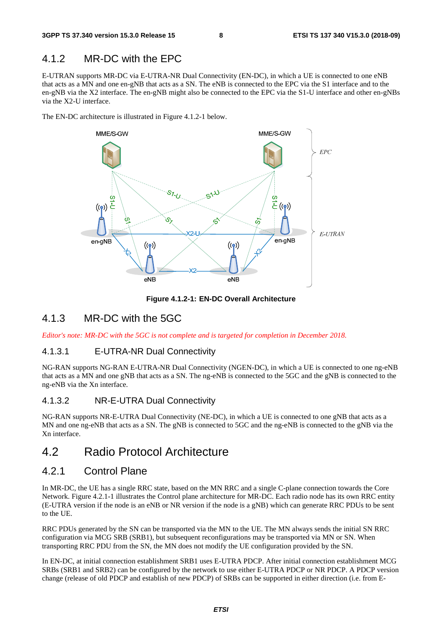### 4.1.2 MR-DC with the EPC

E-UTRAN supports MR-DC via E-UTRA-NR Dual Connectivity (EN-DC), in which a UE is connected to one eNB that acts as a MN and one en-gNB that acts as a SN. The eNB is connected to the EPC via the S1 interface and to the en-gNB via the X2 interface. The en-gNB might also be connected to the EPC via the S1-U interface and other en-gNBs via the X2-U interface.

The EN-DC architecture is illustrated in Figure 4.1.2-1 below.



**Figure 4.1.2-1: EN-DC Overall Architecture** 

### 4.1.3 MR-DC with the 5GC

*Editor's note: MR-DC with the 5GC is not complete and is targeted for completion in December 2018.* 

#### 4.1.3.1 E-UTRA-NR Dual Connectivity

NG-RAN supports NG-RAN E-UTRA-NR Dual Connectivity (NGEN-DC), in which a UE is connected to one ng-eNB that acts as a MN and one gNB that acts as a SN. The ng-eNB is connected to the 5GC and the gNB is connected to the ng-eNB via the Xn interface.

#### 4.1.3.2 NR-E-UTRA Dual Connectivity

NG-RAN supports NR-E-UTRA Dual Connectivity (NE-DC), in which a UE is connected to one gNB that acts as a MN and one ng-eNB that acts as a SN. The gNB is connected to 5GC and the ng-eNB is connected to the gNB via the Xn interface.

### 4.2 Radio Protocol Architecture

### 4.2.1 Control Plane

In MR-DC, the UE has a single RRC state, based on the MN RRC and a single C-plane connection towards the Core Network. Figure 4.2.1-1 illustrates the Control plane architecture for MR-DC. Each radio node has its own RRC entity (E-UTRA version if the node is an eNB or NR version if the node is a gNB) which can generate RRC PDUs to be sent to the UE.

RRC PDUs generated by the SN can be transported via the MN to the UE. The MN always sends the initial SN RRC configuration via MCG SRB (SRB1), but subsequent reconfigurations may be transported via MN or SN. When transporting RRC PDU from the SN, the MN does not modify the UE configuration provided by the SN.

In EN-DC, at initial connection establishment SRB1 uses E-UTRA PDCP. After initial connection establishment MCG SRBs (SRB1 and SRB2) can be configured by the network to use either E-UTRA PDCP or NR PDCP. A PDCP version change (release of old PDCP and establish of new PDCP) of SRBs can be supported in either direction (i.e. from E-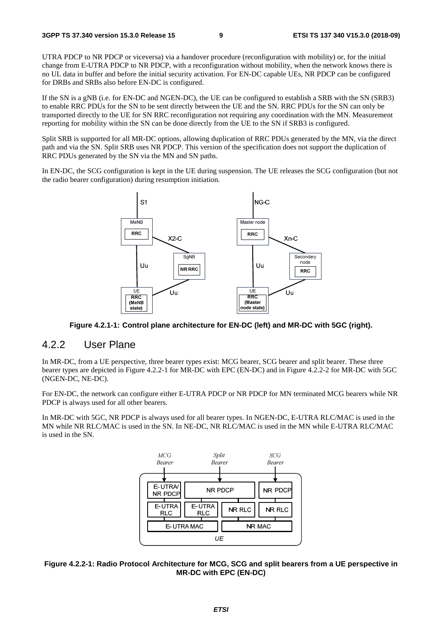UTRA PDCP to NR PDCP or viceversa) via a handover procedure (reconfiguration with mobility) or, for the initial change from E-UTRA PDCP to NR PDCP, with a reconfiguration without mobility, when the network knows there is no UL data in buffer and before the initial security activation. For EN-DC capable UEs, NR PDCP can be configured for DRBs and SRBs also before EN-DC is configured.

If the SN is a gNB (i.e. for EN-DC and NGEN-DC), the UE can be configured to establish a SRB with the SN (SRB3) to enable RRC PDUs for the SN to be sent directly between the UE and the SN. RRC PDUs for the SN can only be transported directly to the UE for SN RRC reconfiguration not requiring any coordination with the MN. Measurement reporting for mobility within the SN can be done directly from the UE to the SN if SRB3 is configured.

Split SRB is supported for all MR-DC options, allowing duplication of RRC PDUs generated by the MN, via the direct path and via the SN. Split SRB uses NR PDCP. This version of the specification does not support the duplication of RRC PDUs generated by the SN via the MN and SN paths.

In EN-DC, the SCG configuration is kept in the UE during suspension. The UE releases the SCG configuration (but not the radio bearer configuration) during resumption initiation.



**Figure 4.2.1-1: Control plane architecture for EN-DC (left) and MR-DC with 5GC (right).** 

#### 4.2.2 User Plane

In MR-DC, from a UE perspective, three bearer types exist: MCG bearer, SCG bearer and split bearer. These three bearer types are depicted in Figure 4.2.2-1 for MR-DC with EPC (EN-DC) and in Figure 4.2.2-2 for MR-DC with 5GC (NGEN-DC, NE-DC).

For EN-DC, the network can configure either E-UTRA PDCP or NR PDCP for MN terminated MCG bearers while NR PDCP is always used for all other bearers.

In MR-DC with 5GC, NR PDCP is always used for all bearer types. In NGEN-DC, E-UTRA RLC/MAC is used in the MN while NR RLC/MAC is used in the SN. In NE-DC, NR RLC/MAC is used in the MN while E-UTRA RLC/MAC is used in the SN.



#### **Figure 4.2.2-1: Radio Protocol Architecture for MCG, SCG and split bearers from a UE perspective in MR-DC with EPC (EN-DC)**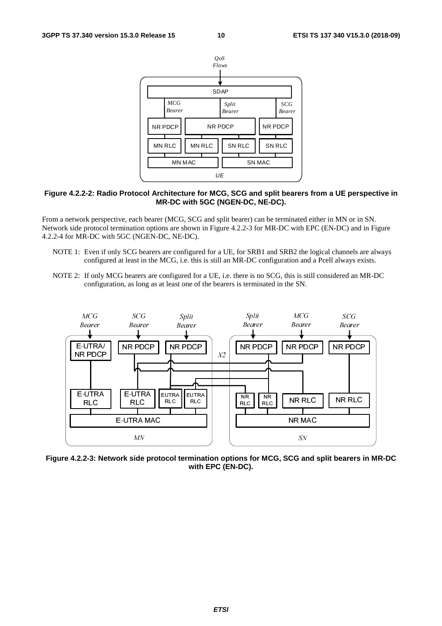

#### **Figure 4.2.2-2: Radio Protocol Architecture for MCG, SCG and split bearers from a UE perspective in MR-DC with 5GC (NGEN-DC, NE-DC).**

From a network perspective, each bearer (MCG, SCG and split bearer) can be terminated either in MN or in SN. Network side protocol termination options are shown in Figure 4.2.2-3 for MR-DC with EPC (EN-DC) and in Figure 4.2.2-4 for MR-DC with 5GC (NGEN-DC, NE-DC).

- NOTE 1: Even if only SCG bearers are configured for a UE, for SRB1 and SRB2 the logical channels are always configured at least in the MCG, i.e. this is still an MR-DC configuration and a Pcell always exists.
- NOTE 2: If only MCG bearers are configured for a UE, i.e. there is no SCG, this is still considered an MR-DC configuration, as long as at least one of the bearers is terminated in the SN.



**Figure 4.2.2-3: Network side protocol termination options for MCG, SCG and split bearers in MR-DC with EPC (EN-DC).**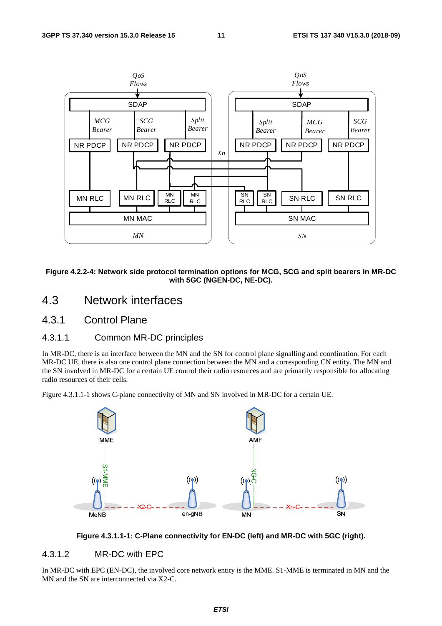

**Figure 4.2.2-4: Network side protocol termination options for MCG, SCG and split bearers in MR-DC with 5GC (NGEN-DC, NE-DC).** 

### 4.3 Network interfaces

### 4.3.1 Control Plane

### 4.3.1.1 Common MR-DC principles

In MR-DC, there is an interface between the MN and the SN for control plane signalling and coordination. For each MR-DC UE, there is also one control plane connection between the MN and a corresponding CN entity. The MN and the SN involved in MR-DC for a certain UE control their radio resources and are primarily responsible for allocating radio resources of their cells.

Figure 4.3.1.1-1 shows C-plane connectivity of MN and SN involved in MR-DC for a certain UE.





### 4.3.1.2 MR-DC with EPC

In MR-DC with EPC (EN-DC), the involved core network entity is the MME. S1-MME is terminated in MN and the MN and the SN are interconnected via X2-C.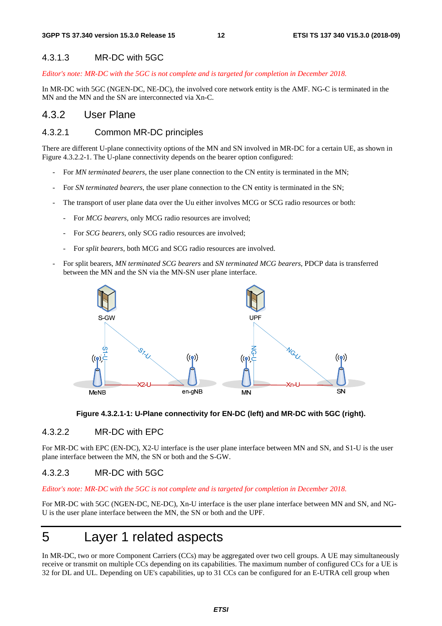#### 4.3.1.3 MR-DC with 5GC

*Editor's note: MR-DC with the 5GC is not complete and is targeted for completion in December 2018.* 

In MR-DC with 5GC (NGEN-DC, NE-DC), the involved core network entity is the AMF. NG-C is terminated in the MN and the MN and the SN are interconnected via Xn-C.

### 4.3.2 User Plane

#### 4.3.2.1 Common MR-DC principles

There are different U-plane connectivity options of the MN and SN involved in MR-DC for a certain UE, as shown in Figure 4.3.2.2-1. The U-plane connectivity depends on the bearer option configured:

- For *MN terminated bearers*, the user plane connection to the CN entity is terminated in the MN;
- For *SN terminated bearers*, the user plane connection to the CN entity is terminated in the SN;
- The transport of user plane data over the Uu either involves MCG or SCG radio resources or both:
	- For *MCG bearers*, only MCG radio resources are involved;
	- For *SCG bearers*, only SCG radio resources are involved;
	- For *split bearers*, both MCG and SCG radio resources are involved.
- For split bearers, *MN terminated SCG bearers* and *SN terminated MCG bearers*, PDCP data is transferred between the MN and the SN via the MN-SN user plane interface.





#### 4.3.2.2 MR-DC with EPC

For MR-DC with EPC (EN-DC), X2-U interface is the user plane interface between MN and SN, and S1-U is the user plane interface between the MN, the SN or both and the S-GW.

#### 4.3.2.3 MR-DC with 5GC

*Editor's note: MR-DC with the 5GC is not complete and is targeted for completion in December 2018.* 

For MR-DC with 5GC (NGEN-DC, NE-DC), Xn-U interface is the user plane interface between MN and SN, and NG-U is the user plane interface between the MN, the SN or both and the UPF.

## 5 Layer 1 related aspects

In MR-DC, two or more Component Carriers (CCs) may be aggregated over two cell groups. A UE may simultaneously receive or transmit on multiple CCs depending on its capabilities. The maximum number of configured CCs for a UE is 32 for DL and UL. Depending on UE's capabilities, up to 31 CCs can be configured for an E-UTRA cell group when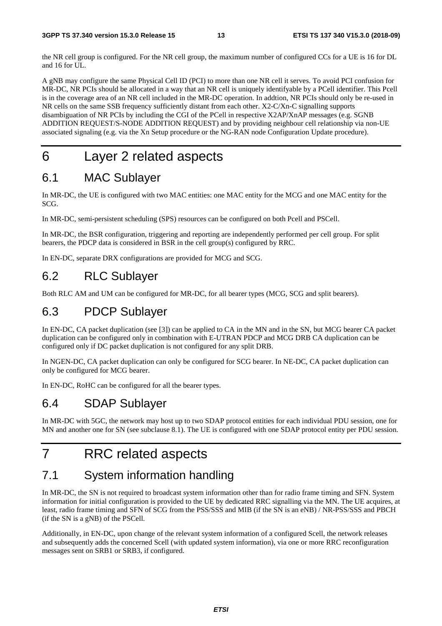the NR cell group is configured. For the NR cell group, the maximum number of configured CCs for a UE is 16 for DL and 16 for UL.

A gNB may configure the same Physical Cell ID (PCI) to more than one NR cell it serves. To avoid PCI confusion for MR-DC, NR PCIs should be allocated in a way that an NR cell is uniquely identifyable by a PCell identifier. This Pcell is in the coverage area of an NR cell included in the MR-DC operation. In addtion, NR PCIs should only be re-used in NR cells on the same SSB frequency sufficiently distant from each other. X2-C/Xn-C signalling supports disambiguation of NR PCIs by including the CGI of the PCell in respective X2AP/XnAP messages (e.g. SGNB ADDITION REQUEST/S-NODE ADDITION REQUEST) and by providing neighbour cell relationship via non-UE associated signaling (e.g. via the Xn Setup procedure or the NG-RAN node Configuration Update procedure).

## 6 Layer 2 related aspects

## 6.1 MAC Sublayer

In MR-DC, the UE is configured with two MAC entities: one MAC entity for the MCG and one MAC entity for the SCG.

In MR-DC, semi-persistent scheduling (SPS) resources can be configured on both Pcell and PSCell.

In MR-DC, the BSR configuration, triggering and reporting are independently performed per cell group. For split bearers, the PDCP data is considered in BSR in the cell group(s) configured by RRC.

In EN-DC, separate DRX configurations are provided for MCG and SCG.

## 6.2 RLC Sublayer

Both RLC AM and UM can be configured for MR-DC, for all bearer types (MCG, SCG and split bearers).

## 6.3 PDCP Sublayer

In EN-DC, CA packet duplication (see [3]) can be applied to CA in the MN and in the SN, but MCG bearer CA packet duplication can be configured only in combination with E-UTRAN PDCP and MCG DRB CA duplication can be configured only if DC packet duplication is not configured for any split DRB.

In NGEN-DC, CA packet duplication can only be configured for SCG bearer. In NE-DC, CA packet duplication can only be configured for MCG bearer.

In EN-DC, RoHC can be configured for all the bearer types.

## 6.4 SDAP Sublayer

In MR-DC with 5GC, the network may host up to two SDAP protocol entities for each individual PDU session, one for MN and another one for SN (see subclause 8.1). The UE is configured with one SDAP protocol entity per PDU session.

## 7 RRC related aspects

## 7.1 System information handling

In MR-DC, the SN is not required to broadcast system information other than for radio frame timing and SFN. System information for initial configuration is provided to the UE by dedicated RRC signalling via the MN. The UE acquires, at least, radio frame timing and SFN of SCG from the PSS/SSS and MIB (if the SN is an eNB) / NR-PSS/SSS and PBCH (if the SN is a gNB) of the PSCell.

Additionally, in EN-DC, upon change of the relevant system information of a configured Scell, the network releases and subsequently adds the concerned Scell (with updated system information), via one or more RRC reconfiguration messages sent on SRB1 or SRB3, if configured.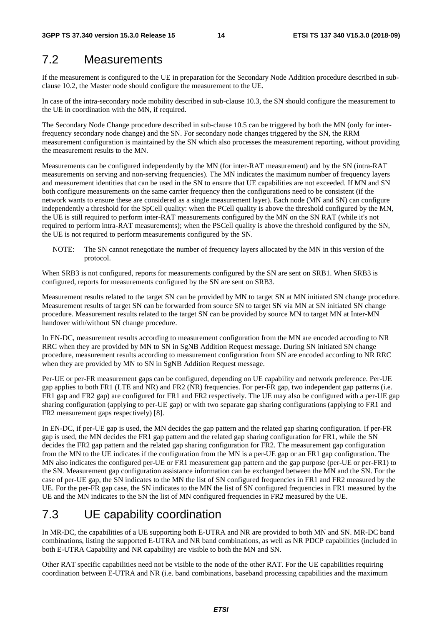### 7.2 Measurements

If the measurement is configured to the UE in preparation for the Secondary Node Addition procedure described in subclause 10.2, the Master node should configure the measurement to the UE.

In case of the intra-secondary node mobility described in sub-clause 10.3, the SN should configure the measurement to the UE in coordination with the MN, if required.

The Secondary Node Change procedure described in sub-clause 10.5 can be triggered by both the MN (only for interfrequency secondary node change) and the SN. For secondary node changes triggered by the SN, the RRM measurement configuration is maintained by the SN which also processes the measurement reporting, without providing the measurement results to the MN.

Measurements can be configured independently by the MN (for inter-RAT measurement) and by the SN (intra-RAT measurements on serving and non-serving frequencies). The MN indicates the maximum number of frequency layers and measurement identities that can be used in the SN to ensure that UE capabilities are not exceeded. If MN and SN both configure measurements on the same carrier frequency then the configurations need to be consistent (if the network wants to ensure these are considered as a single measurement layer). Each node (MN and SN) can configure independently a threshold for the SpCell quality: when the PCell quality is above the threshold configured by the MN, the UE is still required to perform inter-RAT measurements configured by the MN on the SN RAT (while it's not required to perform intra-RAT measurements); when the PSCell quality is above the threshold configured by the SN, the UE is not required to perform measurements configured by the SN.

NOTE: The SN cannot renegotiate the number of frequency layers allocated by the MN in this version of the protocol.

When SRB3 is not configured, reports for measurements configured by the SN are sent on SRB1. When SRB3 is configured, reports for measurements configured by the SN are sent on SRB3.

Measurement results related to the target SN can be provided by MN to target SN at MN initiated SN change procedure. Measurement results of target SN can be forwarded from source SN to target SN via MN at SN initiated SN change procedure. Measurement results related to the target SN can be provided by source MN to target MN at Inter-MN handover with/without SN change procedure.

In EN-DC, measurement results according to measurement configuration from the MN are encoded according to NR RRC when they are provided by MN to SN in SgNB Addition Request message. During SN initiated SN change procedure, measurement results according to measurement configuration from SN are encoded according to NR RRC when they are provided by MN to SN in SgNB Addition Request message.

Per-UE or per-FR measurement gaps can be configured, depending on UE capability and network preference. Per-UE gap applies to both FR1 (LTE and NR) and FR2 (NR) frequencies. For per-FR gap, two independent gap patterns (i.e. FR1 gap and FR2 gap) are configured for FR1 and FR2 respectively. The UE may also be configured with a per-UE gap sharing configuration (applying to per-UE gap) or with two separate gap sharing configurations (applying to FR1 and FR2 measurement gaps respectively) [8].

In EN-DC, if per-UE gap is used, the MN decides the gap pattern and the related gap sharing configuration. If per-FR gap is used, the MN decides the FR1 gap pattern and the related gap sharing configuration for FR1, while the SN decides the FR2 gap pattern and the related gap sharing configuration for FR2. The measurement gap configuration from the MN to the UE indicates if the configuration from the MN is a per-UE gap or an FR1 gap configuration. The MN also indicates the configured per-UE or FR1 measurement gap pattern and the gap purpose (per-UE or per-FR1) to the SN. Measurement gap configuration assistance information can be exchanged between the MN and the SN. For the case of per-UE gap, the SN indicates to the MN the list of SN configured frequencies in FR1 and FR2 measured by the UE. For the per-FR gap case, the SN indicates to the MN the list of SN configured frequencies in FR1 measured by the UE and the MN indicates to the SN the list of MN configured frequencies in FR2 measured by the UE.

## 7.3 UE capability coordination

In MR-DC, the capabilities of a UE supporting both E-UTRA and NR are provided to both MN and SN. MR-DC band combinations, listing the supported E-UTRA and NR band combinations, as well as NR PDCP capabilities (included in both E-UTRA Capability and NR capability) are visible to both the MN and SN.

Other RAT specific capabilities need not be visible to the node of the other RAT. For the UE capabilities requiring coordination between E-UTRA and NR (i.e. band combinations, baseband processing capabilities and the maximum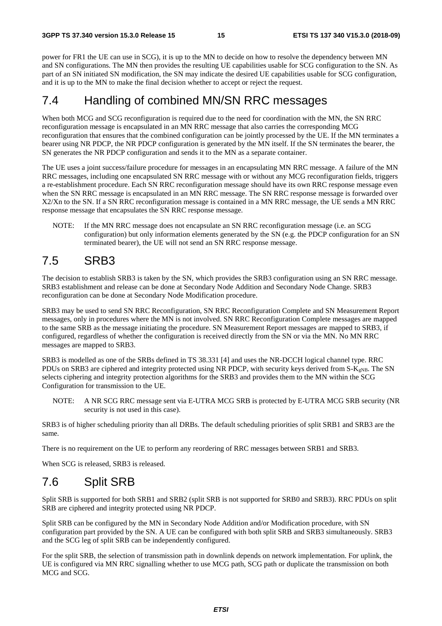power for FR1 the UE can use in SCG), it is up to the MN to decide on how to resolve the dependency between MN and SN configurations. The MN then provides the resulting UE capabilities usable for SCG configuration to the SN. As part of an SN initiated SN modification, the SN may indicate the desired UE capabilities usable for SCG configuration, and it is up to the MN to make the final decision whether to accept or reject the request.

## 7.4 Handling of combined MN/SN RRC messages

When both MCG and SCG reconfiguration is required due to the need for coordination with the MN, the SN RRC reconfiguration message is encapsulated in an MN RRC message that also carries the corresponding MCG reconfiguration that ensures that the combined configuration can be jointly processed by the UE. If the MN terminates a bearer using NR PDCP, the NR PDCP configuration is generated by the MN itself. If the SN terminates the bearer, the SN generates the NR PDCP configuration and sends it to the MN as a separate container.

The UE uses a joint success/failure procedure for messages in an encapsulating MN RRC message. A failure of the MN RRC messages, including one encapsulated SN RRC message with or without any MCG reconfiguration fields, triggers a re-establishment procedure. Each SN RRC reconfiguration message should have its own RRC response message even when the SN RRC message is encapsulated in an MN RRC message. The SN RRC response message is forwarded over X2/Xn to the SN. If a SN RRC reconfiguration message is contained in a MN RRC message, the UE sends a MN RRC response message that encapsulates the SN RRC response message.

NOTE: If the MN RRC message does not encapsulate an SN RRC reconfiguration message (i.e. an SCG configuration) but only information elements generated by the SN (e.g. the PDCP configuration for an SN terminated bearer), the UE will not send an SN RRC response message.

## 7.5 SRB3

The decision to establish SRB3 is taken by the SN, which provides the SRB3 configuration using an SN RRC message. SRB3 establishment and release can be done at Secondary Node Addition and Secondary Node Change. SRB3 reconfiguration can be done at Secondary Node Modification procedure.

SRB3 may be used to send SN RRC Reconfiguration, SN RRC Reconfiguration Complete and SN Measurement Report messages, only in procedures where the MN is not involved. SN RRC Reconfiguration Complete messages are mapped to the same SRB as the message initiating the procedure. SN Measurement Report messages are mapped to SRB3, if configured, regardless of whether the configuration is received directly from the SN or via the MN. No MN RRC messages are mapped to SRB3.

SRB3 is modelled as one of the SRBs defined in TS 38.331 [4] and uses the NR-DCCH logical channel type. RRC PDUs on SRB3 are ciphered and integrity protected using NR PDCP, with security keys derived from S-K<sub>gNB</sub>. The SN selects ciphering and integrity protection algorithms for the SRB3 and provides them to the MN within the SCG Configuration for transmission to the UE.

NOTE: A NR SCG RRC message sent via E-UTRA MCG SRB is protected by E-UTRA MCG SRB security (NR security is not used in this case).

SRB3 is of higher scheduling priority than all DRBs. The default scheduling priorities of split SRB1 and SRB3 are the same.

There is no requirement on the UE to perform any reordering of RRC messages between SRB1 and SRB3.

When SCG is released, SRB3 is released.

## 7.6 Split SRB

Split SRB is supported for both SRB1 and SRB2 (split SRB is not supported for SRB0 and SRB3). RRC PDUs on split SRB are ciphered and integrity protected using NR PDCP.

Split SRB can be configured by the MN in Secondary Node Addition and/or Modification procedure, with SN configuration part provided by the SN. A UE can be configured with both split SRB and SRB3 simultaneously. SRB3 and the SCG leg of split SRB can be independently configured.

For the split SRB, the selection of transmission path in downlink depends on network implementation. For uplink, the UE is configured via MN RRC signalling whether to use MCG path, SCG path or duplicate the transmission on both MCG and SCG.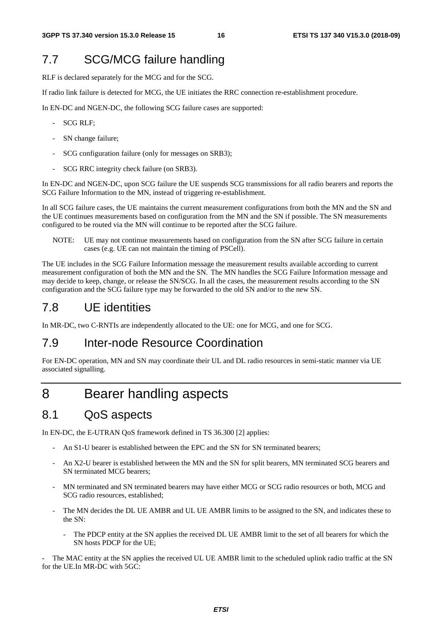## 7.7 SCG/MCG failure handling

RLF is declared separately for the MCG and for the SCG.

If radio link failure is detected for MCG, the UE initiates the RRC connection re-establishment procedure.

In EN-DC and NGEN-DC, the following SCG failure cases are supported:

- SCG RLF;
- SN change failure:
- SCG configuration failure (only for messages on SRB3);
- SCG RRC integrity check failure (on SRB3).

In EN-DC and NGEN-DC, upon SCG failure the UE suspends SCG transmissions for all radio bearers and reports the SCG Failure Information to the MN, instead of triggering re-establishment.

In all SCG failure cases, the UE maintains the current measurement configurations from both the MN and the SN and the UE continues measurements based on configuration from the MN and the SN if possible. The SN measurements configured to be routed via the MN will continue to be reported after the SCG failure.

NOTE: UE may not continue measurements based on configuration from the SN after SCG failure in certain cases (e.g. UE can not maintain the timing of PSCell).

The UE includes in the SCG Failure Information message the measurement results available according to current measurement configuration of both the MN and the SN. The MN handles the SCG Failure Information message and may decide to keep, change, or release the SN/SCG. In all the cases, the measurement results according to the SN configuration and the SCG failure type may be forwarded to the old SN and/or to the new SN.

## 7.8 UE identities

In MR-DC, two C-RNTIs are independently allocated to the UE: one for MCG, and one for SCG.

## 7.9 Inter-node Resource Coordination

For EN-DC operation, MN and SN may coordinate their UL and DL radio resources in semi-static manner via UE associated signalling.

## 8 Bearer handling aspects

## 8.1 QoS aspects

In EN-DC, the E-UTRAN QoS framework defined in TS 36.300 [2] applies:

- An S1-U bearer is established between the EPC and the SN for SN terminated bearers;
- An X2-U bearer is established between the MN and the SN for split bearers, MN terminated SCG bearers and SN terminated MCG bearers;
- MN terminated and SN terminated bearers may have either MCG or SCG radio resources or both, MCG and SCG radio resources, established;
- The MN decides the DL UE AMBR and UL UE AMBR limits to be assigned to the SN, and indicates these to the SN:
	- The PDCP entity at the SN applies the received DL UE AMBR limit to the set of all bearers for which the SN hosts PDCP for the UE;

The MAC entity at the SN applies the received UL UE AMBR limit to the scheduled uplink radio traffic at the SN for the UE.In MR-DC with 5GC: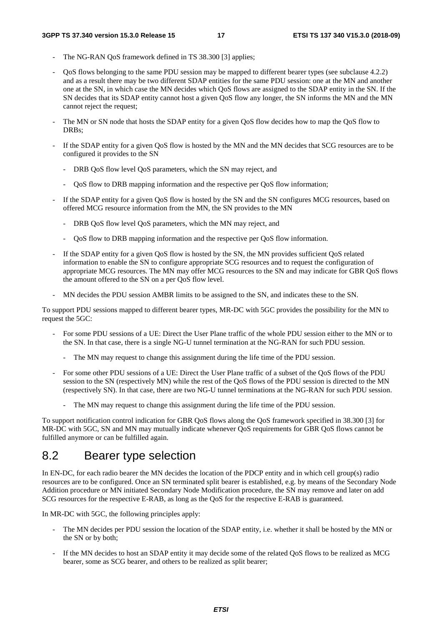- The NG-RAN OoS framework defined in TS 38.300 [3] applies:
- QoS flows belonging to the same PDU session may be mapped to different bearer types (see subclause 4.2.2) and as a result there may be two different SDAP entities for the same PDU session: one at the MN and another one at the SN, in which case the MN decides which QoS flows are assigned to the SDAP entity in the SN. If the SN decides that its SDAP entity cannot host a given QoS flow any longer, the SN informs the MN and the MN cannot reject the request;
- The MN or SN node that hosts the SDAP entity for a given QoS flow decides how to map the QoS flow to DRBs;
- If the SDAP entity for a given OoS flow is hosted by the MN and the MN decides that SCG resources are to be configured it provides to the SN
	- DRB QoS flow level QoS parameters, which the SN may reject, and
	- QoS flow to DRB mapping information and the respective per QoS flow information;
- If the SDAP entity for a given QoS flow is hosted by the SN and the SN configures MCG resources, based on offered MCG resource information from the MN, the SN provides to the MN
	- DRB QoS flow level QoS parameters, which the MN may reject, and
	- QoS flow to DRB mapping information and the respective per QoS flow information.
- If the SDAP entity for a given QoS flow is hosted by the SN, the MN provides sufficient QoS related information to enable the SN to configure appropriate SCG resources and to request the configuration of appropriate MCG resources. The MN may offer MCG resources to the SN and may indicate for GBR QoS flows the amount offered to the SN on a per QoS flow level.
- MN decides the PDU session AMBR limits to be assigned to the SN, and indicates these to the SN.

To support PDU sessions mapped to different bearer types, MR-DC with 5GC provides the possibility for the MN to request the 5GC:

- For some PDU sessions of a UE: Direct the User Plane traffic of the whole PDU session either to the MN or to the SN. In that case, there is a single NG-U tunnel termination at the NG-RAN for such PDU session.
	- The MN may request to change this assignment during the life time of the PDU session.
- For some other PDU sessions of a UE: Direct the User Plane traffic of a subset of the QoS flows of the PDU session to the SN (respectively MN) while the rest of the QoS flows of the PDU session is directed to the MN (respectively SN). In that case, there are two NG-U tunnel terminations at the NG-RAN for such PDU session.
	- The MN may request to change this assignment during the life time of the PDU session.

To support notification control indication for GBR QoS flows along the QoS framework specified in 38.300 [3] for MR-DC with 5GC, SN and MN may mutually indicate whenever OoS requirements for GBR OoS flows cannot be fulfilled anymore or can be fulfilled again.

## 8.2 Bearer type selection

In EN-DC, for each radio bearer the MN decides the location of the PDCP entity and in which cell group(s) radio resources are to be configured. Once an SN terminated split bearer is established, e.g. by means of the Secondary Node Addition procedure or MN initiated Secondary Node Modification procedure, the SN may remove and later on add SCG resources for the respective E-RAB, as long as the QoS for the respective E-RAB is guaranteed.

In MR-DC with 5GC, the following principles apply:

- The MN decides per PDU session the location of the SDAP entity, i.e. whether it shall be hosted by the MN or the SN or by both;
- If the MN decides to host an SDAP entity it may decide some of the related QoS flows to be realized as MCG bearer, some as SCG bearer, and others to be realized as split bearer;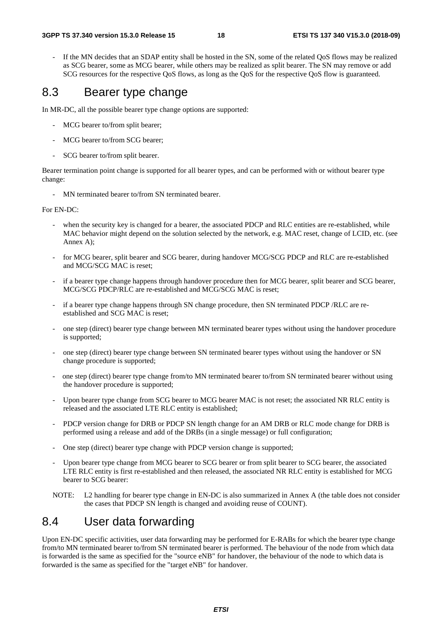If the MN decides that an SDAP entity shall be hosted in the SN, some of the related OoS flows may be realized as SCG bearer, some as MCG bearer, while others may be realized as split bearer. The SN may remove or add SCG resources for the respective QoS flows, as long as the QoS for the respective QoS flow is guaranteed.

## 8.3 Bearer type change

In MR-DC, all the possible bearer type change options are supported:

- MCG bearer to/from split bearer;
- MCG bearer to/from SCG bearer;
- SCG bearer to/from split bearer.

Bearer termination point change is supported for all bearer types, and can be performed with or without bearer type change:

- MN terminated bearer to/from SN terminated bearer.

#### For EN-DC:

- when the security key is changed for a bearer, the associated PDCP and RLC entities are re-established, while MAC behavior might depend on the solution selected by the network, e.g. MAC reset, change of LCID, etc. (see Annex A);
- for MCG bearer, split bearer and SCG bearer, during handover MCG/SCG PDCP and RLC are re-established and MCG/SCG MAC is reset;
- if a bearer type change happens through handover procedure then for MCG bearer, split bearer and SCG bearer, MCG/SCG PDCP/RLC are re-established and MCG/SCG MAC is reset;
- if a bearer type change happens through SN change procedure, then SN terminated PDCP /RLC are reestablished and SCG MAC is reset;
- one step (direct) bearer type change between MN terminated bearer types without using the handover procedure is supported;
- one step (direct) bearer type change between SN terminated bearer types without using the handover or SN change procedure is supported;
- one step (direct) bearer type change from/to MN terminated bearer to/from SN terminated bearer without using the handover procedure is supported;
- Upon bearer type change from SCG bearer to MCG bearer MAC is not reset; the associated NR RLC entity is released and the associated LTE RLC entity is established;
- PDCP version change for DRB or PDCP SN length change for an AM DRB or RLC mode change for DRB is performed using a release and add of the DRBs (in a single message) or full configuration;
- One step (direct) bearer type change with PDCP version change is supported;
- Upon bearer type change from MCG bearer to SCG bearer or from split bearer to SCG bearer, the associated LTE RLC entity is first re-established and then released, the associated NR RLC entity is established for MCG bearer to SCG bearer:
- NOTE: L2 handling for bearer type change in EN-DC is also summarized in Annex A (the table does not consider the cases that PDCP SN length is changed and avoiding reuse of COUNT).

## 8.4 User data forwarding

Upon EN-DC specific activities, user data forwarding may be performed for E-RABs for which the bearer type change from/to MN terminated bearer to/from SN terminated bearer is performed. The behaviour of the node from which data is forwarded is the same as specified for the "source eNB" for handover, the behaviour of the node to which data is forwarded is the same as specified for the "target eNB" for handover.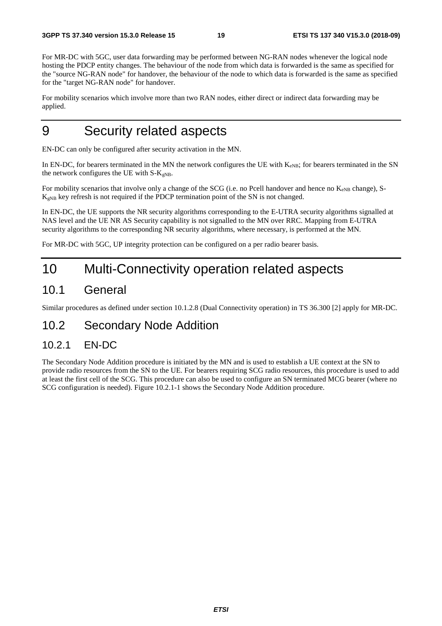For MR-DC with 5GC, user data forwarding may be performed between NG-RAN nodes whenever the logical node hosting the PDCP entity changes. The behaviour of the node from which data is forwarded is the same as specified for the "source NG-RAN node" for handover, the behaviour of the node to which data is forwarded is the same as specified for the "target NG-RAN node" for handover.

For mobility scenarios which involve more than two RAN nodes, either direct or indirect data forwarding may be applied.

## 9 Security related aspects

EN-DC can only be configured after security activation in the MN.

In EN-DC, for bearers terminated in the MN the network configures the UE with  $K_{eNB}$ ; for bearers terminated in the SN the network configures the UE with  $S-K<sub>gNB</sub>$ .

For mobility scenarios that involve only a change of the SCG (i.e. no Pcell handover and hence no  $K_{eNB}$  change), S- $K_{gNB}$  key refresh is not required if the PDCP termination point of the SN is not changed.

In EN-DC, the UE supports the NR security algorithms corresponding to the E-UTRA security algorithms signalled at NAS level and the UE NR AS Security capability is not signalled to the MN over RRC. Mapping from E-UTRA security algorithms to the corresponding NR security algorithms, where necessary, is performed at the MN.

For MR-DC with 5GC, UP integrity protection can be configured on a per radio bearer basis.

## 10 Multi-Connectivity operation related aspects

## 10.1 General

Similar procedures as defined under section 10.1.2.8 (Dual Connectivity operation) in TS 36.300 [2] apply for MR-DC.

### 10.2 Secondary Node Addition

### 10.2.1 EN-DC

The Secondary Node Addition procedure is initiated by the MN and is used to establish a UE context at the SN to provide radio resources from the SN to the UE. For bearers requiring SCG radio resources, this procedure is used to add at least the first cell of the SCG. This procedure can also be used to configure an SN terminated MCG bearer (where no SCG configuration is needed). Figure 10.2.1-1 shows the Secondary Node Addition procedure.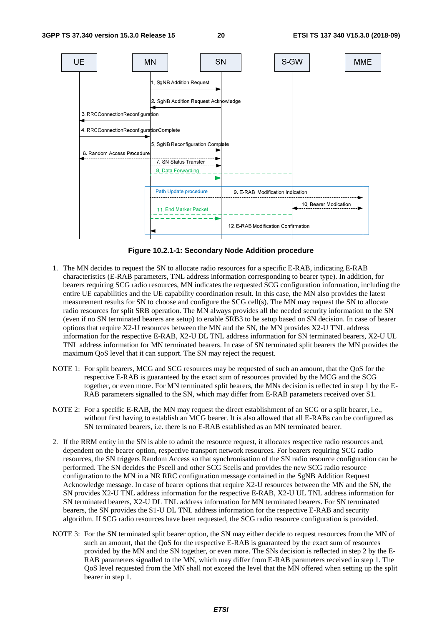

**Figure 10.2.1-1: Secondary Node Addition procedure** 

- 1. The MN decides to request the SN to allocate radio resources for a specific E-RAB, indicating E-RAB characteristics (E-RAB parameters, TNL address information corresponding to bearer type). In addition, for bearers requiring SCG radio resources, MN indicates the requested SCG configuration information, including the entire UE capabilities and the UE capability coordination result. In this case, the MN also provides the latest measurement results for SN to choose and configure the SCG cell(s). The MN may request the SN to allocate radio resources for split SRB operation. The MN always provides all the needed security information to the SN (even if no SN terminated bearers are setup) to enable SRB3 to be setup based on SN decision. In case of bearer options that require X2-U resources between the MN and the SN, the MN provides X2-U TNL address information for the respective E-RAB, X2-U DL TNL address information for SN terminated bearers, X2-U UL TNL address information for MN terminated bearers. In case of SN terminated split bearers the MN provides the maximum QoS level that it can support. The SN may reject the request.
- NOTE 1: For split bearers, MCG and SCG resources may be requested of such an amount, that the QoS for the respective E-RAB is guaranteed by the exact sum of resources provided by the MCG and the SCG together, or even more. For MN terminated split bearers, the MNs decision is reflected in step 1 by the E-RAB parameters signalled to the SN, which may differ from E-RAB parameters received over S1.
- NOTE 2: For a specific E-RAB, the MN may request the direct establishment of an SCG or a split bearer, i.e., without first having to establish an MCG bearer. It is also allowed that all E-RABs can be configured as SN terminated bearers, i.e. there is no E-RAB established as an MN terminated bearer.
- 2. If the RRM entity in the SN is able to admit the resource request, it allocates respective radio resources and, dependent on the bearer option, respective transport network resources. For bearers requiring SCG radio resources, the SN triggers Random Access so that synchronisation of the SN radio resource configuration can be performed. The SN decides the Pscell and other SCG Scells and provides the new SCG radio resource configuration to the MN in a NR RRC configuration message contained in the SgNB Addition Request Acknowledge message. In case of bearer options that require X2-U resources between the MN and the SN, the SN provides X2-U TNL address information for the respective E-RAB, X2-U UL TNL address information for SN terminated bearers, X2-U DL TNL address information for MN terminated bearers. For SN terminated bearers, the SN provides the S1-U DL TNL address information for the respective E-RAB and security algorithm. If SCG radio resources have been requested, the SCG radio resource configuration is provided.
- NOTE 3: For the SN terminated split bearer option, the SN may either decide to request resources from the MN of such an amount, that the QoS for the respective E-RAB is guaranteed by the exact sum of resources provided by the MN and the SN together, or even more. The SNs decision is reflected in step 2 by the E-RAB parameters signalled to the MN, which may differ from E-RAB parameters received in step 1. The QoS level requested from the MN shall not exceed the level that the MN offered when setting up the split bearer in step 1.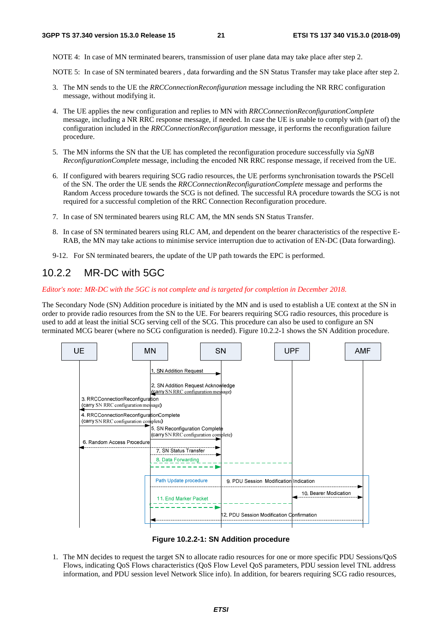NOTE 4: In case of MN terminated bearers, transmission of user plane data may take place after step 2.

NOTE 5: In case of SN terminated bearers , data forwarding and the SN Status Transfer may take place after step 2.

- 3. The MN sends to the UE the *RRCConnectionReconfiguration* message including the NR RRC configuration message, without modifying it.
- 4. The UE applies the new configuration and replies to MN with *RRCConnectionReconfigurationComplete* message, including a NR RRC response message, if needed. In case the UE is unable to comply with (part of) the configuration included in the *RRCConnectionReconfiguration* message, it performs the reconfiguration failure procedure.
- 5. The MN informs the SN that the UE has completed the reconfiguration procedure successfully via *SgNB ReconfigurationComplete* message, including the encoded NR RRC response message, if received from the UE.
- 6. If configured with bearers requiring SCG radio resources, the UE performs synchronisation towards the PSCell of the SN. The order the UE sends the *RRCConnectionReconfigurationComplete* message and performs the Random Access procedure towards the SCG is not defined. The successful RA procedure towards the SCG is not required for a successful completion of the RRC Connection Reconfiguration procedure.
- 7. In case of SN terminated bearers using RLC AM, the MN sends SN Status Transfer.
- 8. In case of SN terminated bearers using RLC AM, and dependent on the bearer characteristics of the respective E-RAB, the MN may take actions to minimise service interruption due to activation of EN-DC (Data forwarding).
- 9-12. For SN terminated bearers, the update of the UP path towards the EPC is performed.

### 10.2.2 MR-DC with 5GC

*Editor's note: MR-DC with the 5GC is not complete and is targeted for completion in December 2018.* 

The Secondary Node (SN) Addition procedure is initiated by the MN and is used to establish a UE context at the SN in order to provide radio resources from the SN to the UE. For bearers requiring SCG radio resources, this procedure is used to add at least the initial SCG serving cell of the SCG. This procedure can also be used to configure an SN terminated MCG bearer (where no SCG configuration is needed). Figure 10.2.2-1 shows the SN Addition procedure.



**Figure 10.2.2-1: SN Addition procedure** 

1. The MN decides to request the target SN to allocate radio resources for one or more specific PDU Sessions/QoS Flows, indicating QoS Flows characteristics (QoS Flow Level QoS parameters, PDU session level TNL address information, and PDU session level Network Slice info). In addition, for bearers requiring SCG radio resources,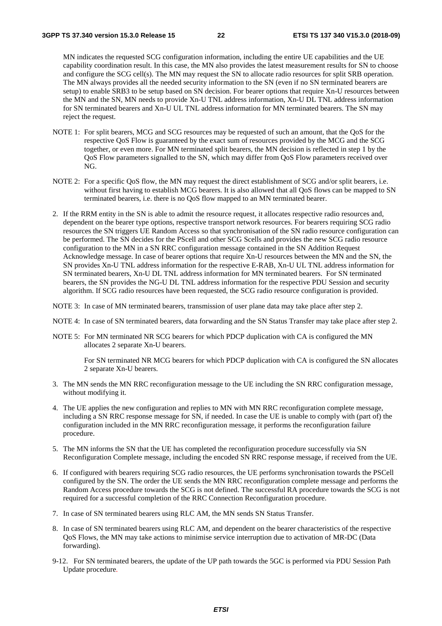MN indicates the requested SCG configuration information, including the entire UE capabilities and the UE capability coordination result. In this case, the MN also provides the latest measurement results for SN to choose and configure the SCG cell(s). The MN may request the SN to allocate radio resources for split SRB operation. The MN always provides all the needed security information to the SN (even if no SN terminated bearers are setup) to enable SRB3 to be setup based on SN decision. For bearer options that require Xn-U resources between the MN and the SN, MN needs to provide Xn-U TNL address information, Xn-U DL TNL address information for SN terminated bearers and Xn-U UL TNL address information for MN terminated bearers. The SN may reject the request.

- NOTE 1: For split bearers, MCG and SCG resources may be requested of such an amount, that the QoS for the respective QoS Flow is guaranteed by the exact sum of resources provided by the MCG and the SCG together, or even more. For MN terminated split bearers, the MN decision is reflected in step 1 by the QoS Flow parameters signalled to the SN, which may differ from QoS Flow parameters received over NG.
- NOTE 2: For a specific QoS flow, the MN may request the direct establishment of SCG and/or split bearers, i.e. without first having to establish MCG bearers. It is also allowed that all QoS flows can be mapped to SN terminated bearers, i.e. there is no QoS flow mapped to an MN terminated bearer.
- 2. If the RRM entity in the SN is able to admit the resource request, it allocates respective radio resources and, dependent on the bearer type options, respective transport network resources. For bearers requiring SCG radio resources the SN triggers UE Random Access so that synchronisation of the SN radio resource configuration can be performed. The SN decides for the PScell and other SCG Scells and provides the new SCG radio resource configuration to the MN in a SN RRC configuration message contained in the SN Addition Request Acknowledge message. In case of bearer options that require Xn-U resources between the MN and the SN, the SN provides Xn-U TNL address information for the respective E-RAB, Xn-U UL TNL address information for SN terminated bearers, Xn-U DL TNL address information for MN terminated bearers. For SN terminated bearers, the SN provides the NG-U DL TNL address information for the respective PDU Session and security algorithm. If SCG radio resources have been requested, the SCG radio resource configuration is provided.
- NOTE 3: In case of MN terminated bearers, transmission of user plane data may take place after step 2.
- NOTE 4: In case of SN terminated bearers, data forwarding and the SN Status Transfer may take place after step 2.
- NOTE 5: For MN terminated NR SCG bearers for which PDCP duplication with CA is configured the MN allocates 2 separate Xn-U bearers.

 For SN terminated NR MCG bearers for which PDCP duplication with CA is configured the SN allocates 2 separate Xn-U bearers.

- 3. The MN sends the MN RRC reconfiguration message to the UE including the SN RRC configuration message, without modifying it.
- 4. The UE applies the new configuration and replies to MN with MN RRC reconfiguration complete message, including a SN RRC response message for SN, if needed. In case the UE is unable to comply with (part of) the configuration included in the MN RRC reconfiguration message, it performs the reconfiguration failure procedure.
- 5. The MN informs the SN that the UE has completed the reconfiguration procedure successfully via SN Reconfiguration Complete message, including the encoded SN RRC response message, if received from the UE.
- 6. If configured with bearers requiring SCG radio resources, the UE performs synchronisation towards the PSCell configured by the SN. The order the UE sends the MN RRC reconfiguration complete message and performs the Random Access procedure towards the SCG is not defined. The successful RA procedure towards the SCG is not required for a successful completion of the RRC Connection Reconfiguration procedure.
- 7. In case of SN terminated bearers using RLC AM, the MN sends SN Status Transfer.
- 8. In case of SN terminated bearers using RLC AM, and dependent on the bearer characteristics of the respective QoS Flows, the MN may take actions to minimise service interruption due to activation of MR-DC (Data forwarding).
- 9-12. For SN terminated bearers, the update of the UP path towards the 5GC is performed via PDU Session Path Update procedure*.*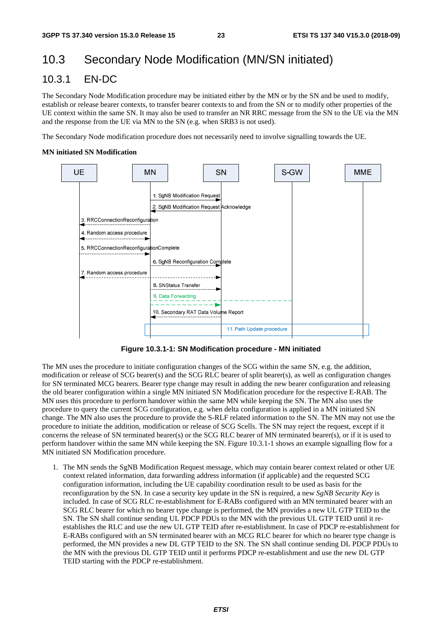## 10.3 Secondary Node Modification (MN/SN initiated)

### 10.3.1 EN-DC

The Secondary Node Modification procedure may be initiated either by the MN or by the SN and be used to modify, establish or release bearer contexts, to transfer bearer contexts to and from the SN or to modify other properties of the UE context within the same SN. It may also be used to transfer an NR RRC message from the SN to the UE via the MN and the response from the UE via MN to the SN (e.g. when SRB3 is not used).

The Secondary Node modification procedure does not necessarily need to involve signalling towards the UE.

#### **MN initiated SN Modification**



**Figure 10.3.1-1: SN Modification procedure - MN initiated** 

The MN uses the procedure to initiate configuration changes of the SCG within the same SN, e.g. the addition, modification or release of SCG bearer(s) and the SCG RLC bearer of split bearer(s), as well as configuration changes for SN terminated MCG bearers. Bearer type change may result in adding the new bearer configuration and releasing the old bearer configuration within a single MN initiated SN Modification procedure for the respective E-RAB. The MN uses this procedure to perform handover within the same MN while keeping the SN. The MN also uses the procedure to query the current SCG configuration, e.g. when delta configuration is applied in a MN initiated SN change. The MN also uses the procedure to provide the S-RLF related information to the SN. The MN may not use the procedure to initiate the addition, modification or release of SCG Scells. The SN may reject the request, except if it concerns the release of SN terminated bearer(s) or the SCG RLC bearer of MN terminated bearer(s), or if it is used to perform handover within the same MN while keeping the SN. Figure 10.3.1-1 shows an example signalling flow for a MN initiated SN Modification procedure.

1. The MN sends the SgNB Modification Request message, which may contain bearer context related or other UE context related information, data forwarding address information (if applicable) and the requested SCG configuration information, including the UE capability coordination result to be used as basis for the reconfiguration by the SN. In case a security key update in the SN is required, a new *SgNB Security Key* is included. In case of SCG RLC re-establishment for E-RABs configured with an MN terminated bearer with an SCG RLC bearer for which no bearer type change is performed, the MN provides a new UL GTP TEID to the SN. The SN shall continue sending UL PDCP PDUs to the MN with the previous UL GTP TEID until it reestablishes the RLC and use the new UL GTP TEID after re-establishment. In case of PDCP re-establishment for E-RABs configured with an SN terminated bearer with an MCG RLC bearer for which no bearer type change is performed, the MN provides a new DL GTP TEID to the SN. The SN shall continue sending DL PDCP PDUs to the MN with the previous DL GTP TEID until it performs PDCP re-establishment and use the new DL GTP TEID starting with the PDCP re-establishment.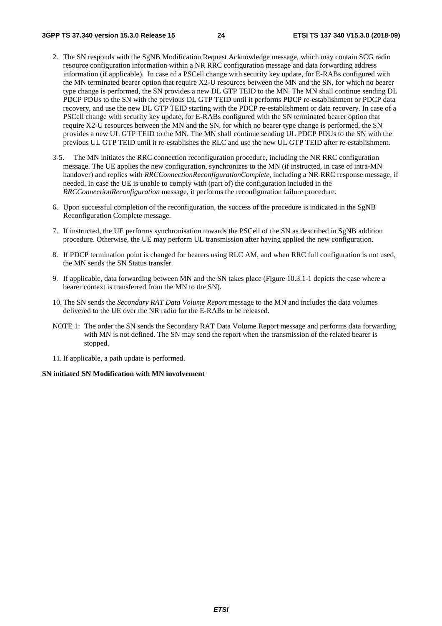- 2. The SN responds with the SgNB Modification Request Acknowledge message, which may contain SCG radio resource configuration information within a NR RRC configuration message and data forwarding address information (if applicable). In case of a PSCell change with security key update, for E-RABs configured with the MN terminated bearer option that require X2-U resources between the MN and the SN, for which no bearer type change is performed, the SN provides a new DL GTP TEID to the MN. The MN shall continue sending DL PDCP PDUs to the SN with the previous DL GTP TEID until it performs PDCP re-establishment or PDCP data recovery, and use the new DL GTP TEID starting with the PDCP re-establishment or data recovery. In case of a PSCell change with security key update, for E-RABs configured with the SN terminated bearer option that require X2-U resources between the MN and the SN, for which no bearer type change is performed, the SN provides a new UL GTP TEID to the MN. The MN shall continue sending UL PDCP PDUs to the SN with the previous UL GTP TEID until it re-establishes the RLC and use the new UL GTP TEID after re-establishment.
- 3-5. The MN initiates the RRC connection reconfiguration procedure, including the NR RRC configuration message. The UE applies the new configuration, synchronizes to the MN (if instructed, in case of intra-MN handover) and replies with *RRCConnectionReconfigurationComplete*, including a NR RRC response message, if needed. In case the UE is unable to comply with (part of) the configuration included in the *RRCConnectionReconfiguration* message, it performs the reconfiguration failure procedure.
- 6. Upon successful completion of the reconfiguration, the success of the procedure is indicated in the SgNB Reconfiguration Complete message.
- 7. If instructed, the UE performs synchronisation towards the PSCell of the SN as described in SgNB addition procedure. Otherwise, the UE may perform UL transmission after having applied the new configuration.
- 8. If PDCP termination point is changed for bearers using RLC AM, and when RRC full configuration is not used, the MN sends the SN Status transfer.
- 9. If applicable, data forwarding between MN and the SN takes place (Figure 10.3.1-1 depicts the case where a bearer context is transferred from the MN to the SN).
- 10. The SN sends the *Secondary RAT Data Volume Report* message to the MN and includes the data volumes delivered to the UE over the NR radio for the E-RABs to be released.
- NOTE 1: The order the SN sends the Secondary RAT Data Volume Report message and performs data forwarding with MN is not defined. The SN may send the report when the transmission of the related bearer is stopped.
- 11. If applicable, a path update is performed.

#### **SN initiated SN Modification with MN involvement**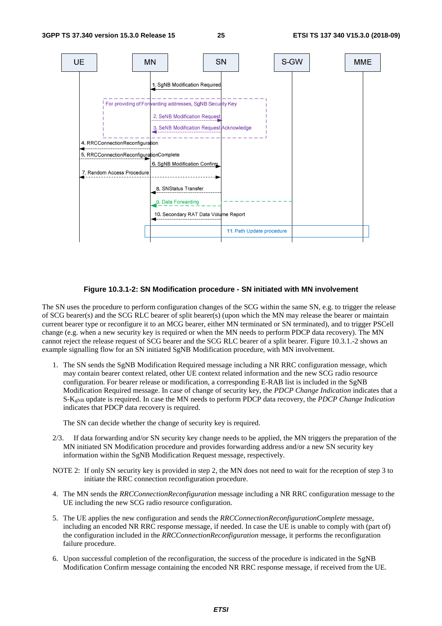

#### **Figure 10.3.1-2: SN Modification procedure - SN initiated with MN involvement**

The SN uses the procedure to perform configuration changes of the SCG within the same SN, e.g. to trigger the release of SCG bearer(s) and the SCG RLC bearer of split bearer(s) (upon which the MN may release the bearer or maintain current bearer type or reconfigure it to an MCG bearer, either MN terminated or SN terminated), and to trigger PSCell change (e.g. when a new security key is required or when the MN needs to perform PDCP data recovery). The MN cannot reject the release request of SCG bearer and the SCG RLC bearer of a split bearer. Figure 10.3.1.-2 shows an example signalling flow for an SN initiated SgNB Modification procedure, with MN involvement.

1. The SN sends the SgNB Modification Required message including a NR RRC configuration message, which may contain bearer context related, other UE context related information and the new SCG radio resource configuration. For bearer release or modification, a corresponding E-RAB list is included in the SgNB Modification Required message. In case of change of security key, the *PDCP Change Indication* indicates that a S-KgNB update is required. In case the MN needs to perform PDCP data recovery, the *PDCP Change Indication* indicates that PDCP data recovery is required.

The SN can decide whether the change of security key is required.

- 2/3. If data forwarding and/or SN security key change needs to be applied, the MN triggers the preparation of the MN initiated SN Modification procedure and provides forwarding address and/or a new SN security key information within the SgNB Modification Request message, respectively.
- NOTE 2: If only SN security key is provided in step 2, the MN does not need to wait for the reception of step 3 to initiate the RRC connection reconfiguration procedure.
- 4. The MN sends the *RRCConnectionReconfiguration* message including a NR RRC configuration message to the UE including the new SCG radio resource configuration.
- 5. The UE applies the new configuration and sends the *RRCConnectionReconfigurationComplete* message, including an encoded NR RRC response message, if needed. In case the UE is unable to comply with (part of) the configuration included in the *RRCConnectionReconfiguration* message, it performs the reconfiguration failure procedure.
- 6. Upon successful completion of the reconfiguration, the success of the procedure is indicated in the SgNB Modification Confirm message containing the encoded NR RRC response message, if received from the UE.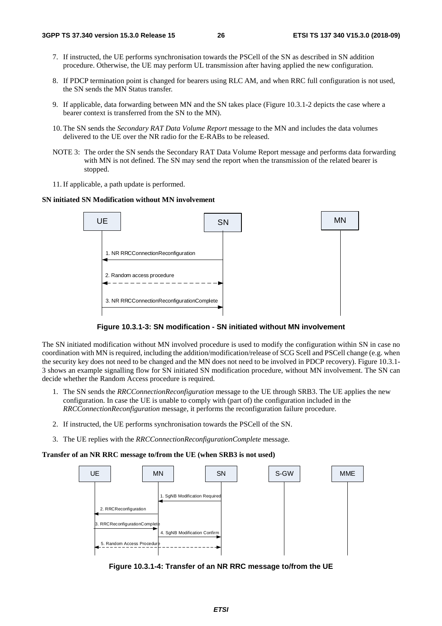- 7. If instructed, the UE performs synchronisation towards the PSCell of the SN as described in SN addition procedure. Otherwise, the UE may perform UL transmission after having applied the new configuration.
- 8. If PDCP termination point is changed for bearers using RLC AM, and when RRC full configuration is not used, the SN sends the MN Status transfer.
- 9. If applicable, data forwarding between MN and the SN takes place (Figure 10.3.1-2 depicts the case where a bearer context is transferred from the SN to the MN).
- 10. The SN sends the *Secondary RAT Data Volume Report* message to the MN and includes the data volumes delivered to the UE over the NR radio for the E-RABs to be released.
- NOTE 3: The order the SN sends the Secondary RAT Data Volume Report message and performs data forwarding with MN is not defined. The SN may send the report when the transmission of the related bearer is stopped.
- 11. If applicable, a path update is performed.

#### **SN initiated SN Modification without MN involvement**





The SN initiated modification without MN involved procedure is used to modify the configuration within SN in case no coordination with MN is required, including the addition/modification/release of SCG Scell and PSCell change (e.g. when the security key does not need to be changed and the MN does not need to be involved in PDCP recovery). Figure 10.3.1- 3 shows an example signalling flow for SN initiated SN modification procedure, without MN involvement. The SN can decide whether the Random Access procedure is required.

- 1. The SN sends the *RRCConnectionReconfiguration* message to the UE through SRB3. The UE applies the new configuration. In case the UE is unable to comply with (part of) the configuration included in the *RRCConnectionReconfiguration* message, it performs the reconfiguration failure procedure.
- 2. If instructed, the UE performs synchronisation towards the PSCell of the SN.
- 3. The UE replies with the *RRCConnectionReconfigurationComplete* message.

#### **Transfer of an NR RRC message to/from the UE (when SRB3 is not used)**



**Figure 10.3.1-4: Transfer of an NR RRC message to/from the UE**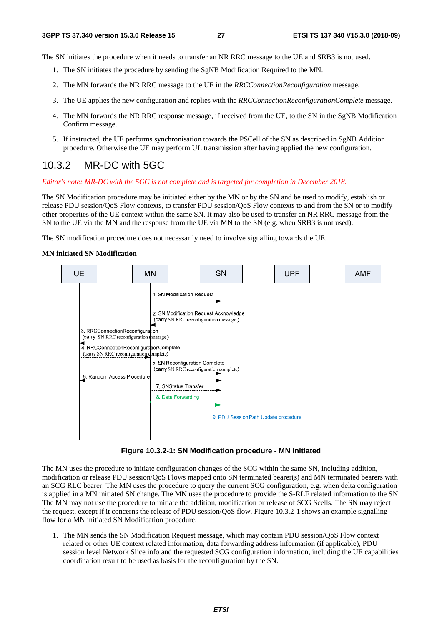The SN initiates the procedure when it needs to transfer an NR RRC message to the UE and SRB3 is not used.

- 1. The SN initiates the procedure by sending the SgNB Modification Required to the MN.
- 2. The MN forwards the NR RRC message to the UE in the *RRCConnectionReconfiguration* message.
- 3. The UE applies the new configuration and replies with the *RRCConnectionReconfigurationComplete* message.
- 4. The MN forwards the NR RRC response message, if received from the UE, to the SN in the SgNB Modification Confirm message.
- 5. If instructed, the UE performs synchronisation towards the PSCell of the SN as described in SgNB Addition procedure. Otherwise the UE may perform UL transmission after having applied the new configuration.

### 10.3.2 MR-DC with 5GC

*Editor's note: MR-DC with the 5GC is not complete and is targeted for completion in December 2018.* 

The SN Modification procedure may be initiated either by the MN or by the SN and be used to modify, establish or release PDU session/QoS Flow contexts, to transfer PDU session/QoS Flow contexts to and from the SN or to modify other properties of the UE context within the same SN. It may also be used to transfer an NR RRC message from the SN to the UE via the MN and the response from the UE via MN to the SN (e.g. when SRB3 is not used).

The SN modification procedure does not necessarily need to involve signalling towards the UE.

#### **MN initiated SN Modification**



**Figure 10.3.2-1: SN Modification procedure - MN initiated** 

The MN uses the procedure to initiate configuration changes of the SCG within the same SN, including addition, modification or release PDU session/OoS Flows mapped onto SN terminated bearer(s) and MN terminated bearers with an SCG RLC bearer. The MN uses the procedure to query the current SCG configuration, e.g. when delta configuration is applied in a MN initiated SN change. The MN uses the procedure to provide the S-RLF related information to the SN. The MN may not use the procedure to initiate the addition, modification or release of SCG Scells. The SN may reject the request, except if it concerns the release of PDU session/QoS flow. Figure 10.3.2-1 shows an example signalling flow for a MN initiated SN Modification procedure.

1. The MN sends the SN Modification Request message, which may contain PDU session/QoS Flow context related or other UE context related information, data forwarding address information (if applicable), PDU session level Network Slice info and the requested SCG configuration information, including the UE capabilities coordination result to be used as basis for the reconfiguration by the SN.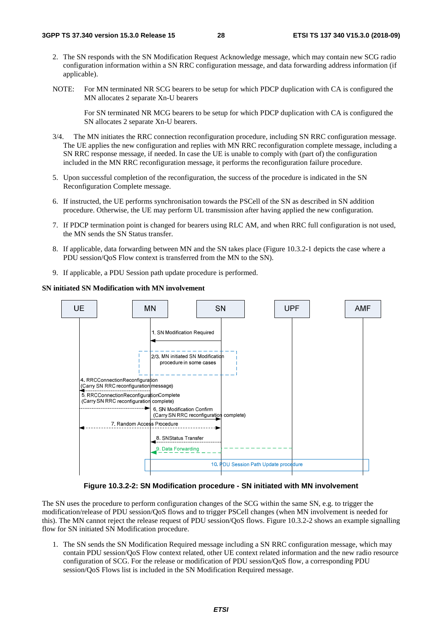- 2. The SN responds with the SN Modification Request Acknowledge message, which may contain new SCG radio configuration information within a SN RRC configuration message*,* and data forwarding address information (if applicable).
- NOTE: For MN terminated NR SCG bearers to be setup for which PDCP duplication with CA is configured the MN allocates 2 separate Xn-U bearers

 For SN terminated NR MCG bearers to be setup for which PDCP duplication with CA is configured the SN allocates 2 separate Xn-U bearers.

- 3/4. The MN initiates the RRC connection reconfiguration procedure, including SN RRC configuration message. The UE applies the new configuration and replies with MN RRC reconfiguration complete message, including a SN RRC response message, if needed. In case the UE is unable to comply with (part of) the configuration included in the MN RRC reconfiguration message, it performs the reconfiguration failure procedure.
- 5. Upon successful completion of the reconfiguration, the success of the procedure is indicated in the SN Reconfiguration Complete message.
- 6. If instructed, the UE performs synchronisation towards the PSCell of the SN as described in SN addition procedure. Otherwise, the UE may perform UL transmission after having applied the new configuration.
- 7. If PDCP termination point is changed for bearers using RLC AM, and when RRC full configuration is not used, the MN sends the SN Status transfer.
- 8. If applicable, data forwarding between MN and the SN takes place (Figure 10.3.2-1 depicts the case where a PDU session/QoS Flow context is transferred from the MN to the SN).
- 9. If applicable, a PDU Session path update procedure is performed.

#### **SN initiated SN Modification with MN involvement**



**Figure 10.3.2-2: SN Modification procedure - SN initiated with MN involvement** 

The SN uses the procedure to perform configuration changes of the SCG within the same SN, e.g. to trigger the modification/release of PDU session/QoS flows and to trigger PSCell changes (when MN involvement is needed for this). The MN cannot reject the release request of PDU session/QoS flows. Figure 10.3.2-2 shows an example signalling flow for SN initiated SN Modification procedure.

1. The SN sends the SN Modification Required message including a SN RRC configuration message, which may contain PDU session/QoS Flow context related, other UE context related information and the new radio resource configuration of SCG. For the release or modification of PDU session/QoS flow, a corresponding PDU session/QoS Flows list is included in the SN Modification Required message.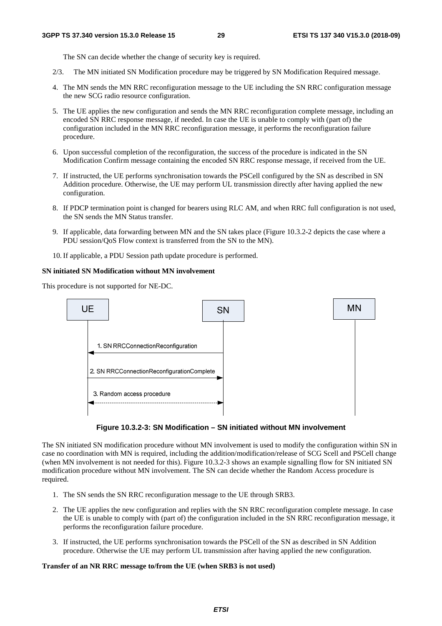The SN can decide whether the change of security key is required.

- 2/3. The MN initiated SN Modification procedure may be triggered by SN Modification Required message.
- 4. The MN sends the MN RRC reconfiguration message to the UE including the SN RRC configuration message the new SCG radio resource configuration.
- 5. The UE applies the new configuration and sends the MN RRC reconfiguration complete message, including an encoded SN RRC response message, if needed. In case the UE is unable to comply with (part of) the configuration included in the MN RRC reconfiguration message, it performs the reconfiguration failure procedure.
- 6. Upon successful completion of the reconfiguration, the success of the procedure is indicated in the SN Modification Confirm message containing the encoded SN RRC response message, if received from the UE.
- 7. If instructed, the UE performs synchronisation towards the PSCell configured by the SN as described in SN Addition procedure. Otherwise, the UE may perform UL transmission directly after having applied the new configuration.
- 8. If PDCP termination point is changed for bearers using RLC AM, and when RRC full configuration is not used, the SN sends the MN Status transfer.
- 9. If applicable, data forwarding between MN and the SN takes place (Figure 10.3.2-2 depicts the case where a PDU session/QoS Flow context is transferred from the SN to the MN).
- 10. If applicable, a PDU Session path update procedure is performed.

#### **SN initiated SN Modification without MN involvement**

This procedure is not supported for NE-DC.





The SN initiated SN modification procedure without MN involvement is used to modify the configuration within SN in case no coordination with MN is required, including the addition/modification/release of SCG Scell and PSCell change (when MN involvement is not needed for this). Figure 10.3.2-3 shows an example signalling flow for SN initiated SN modification procedure without MN involvement. The SN can decide whether the Random Access procedure is required.

- 1. The SN sends the SN RRC reconfiguration message to the UE through SRB3.
- 2. The UE applies the new configuration and replies with the SN RRC reconfiguration complete message. In case the UE is unable to comply with (part of) the configuration included in the SN RRC reconfiguration message, it performs the reconfiguration failure procedure.
- 3. If instructed, the UE performs synchronisation towards the PSCell of the SN as described in SN Addition procedure. Otherwise the UE may perform UL transmission after having applied the new configuration.

#### **Transfer of an NR RRC message to/from the UE (when SRB3 is not used)**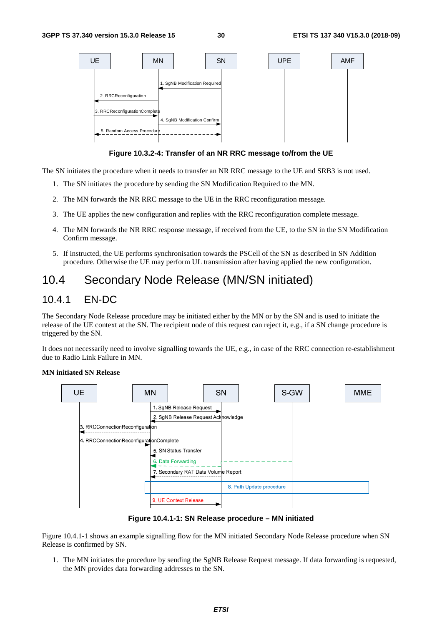

**Figure 10.3.2-4: Transfer of an NR RRC message to/from the UE** 

The SN initiates the procedure when it needs to transfer an NR RRC message to the UE and SRB3 is not used.

- 1. The SN initiates the procedure by sending the SN Modification Required to the MN.
- 2. The MN forwards the NR RRC message to the UE in the RRC reconfiguration message.
- 3. The UE applies the new configuration and replies with the RRC reconfiguration complete message.
- 4. The MN forwards the NR RRC response message, if received from the UE, to the SN in the SN Modification Confirm message.
- 5. If instructed, the UE performs synchronisation towards the PSCell of the SN as described in SN Addition procedure. Otherwise the UE may perform UL transmission after having applied the new configuration.

## 10.4 Secondary Node Release (MN/SN initiated)

### 10.4.1 EN-DC

The Secondary Node Release procedure may be initiated either by the MN or by the SN and is used to initiate the release of the UE context at the SN. The recipient node of this request can reject it, e.g., if a SN change procedure is triggered by the SN.

It does not necessarily need to involve signalling towards the UE, e.g., in case of the RRC connection re-establishment due to Radio Link Failure in MN.

#### **MN initiated SN Release**



**Figure 10.4.1-1: SN Release procedure – MN initiated** 

Figure 10.4.1-1 shows an example signalling flow for the MN initiated Secondary Node Release procedure when SN Release is confirmed by SN.

1. The MN initiates the procedure by sending the SgNB Release Request message. If data forwarding is requested, the MN provides data forwarding addresses to the SN.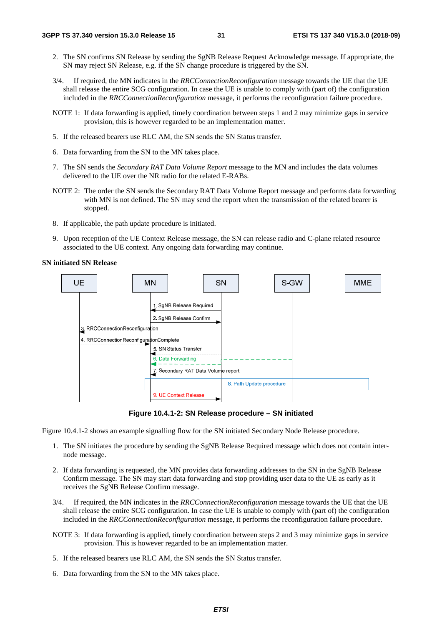- 2. The SN confirms SN Release by sending the SgNB Release Request Acknowledge message. If appropriate, the SN may reject SN Release, e.g. if the SN change procedure is triggered by the SN.
- 3/4. If required, the MN indicates in the *RRCConnectionReconfiguration* message towards the UE that the UE shall release the entire SCG configuration. In case the UE is unable to comply with (part of) the configuration included in the *RRCConnectionReconfiguration* message, it performs the reconfiguration failure procedure.
- NOTE 1: If data forwarding is applied, timely coordination between steps 1 and 2 may minimize gaps in service provision, this is however regarded to be an implementation matter.
- 5. If the released bearers use RLC AM, the SN sends the SN Status transfer.
- 6. Data forwarding from the SN to the MN takes place.
- 7. The SN sends the *Secondary RAT Data Volume Report* message to the MN and includes the data volumes delivered to the UE over the NR radio for the related E-RABs.
- NOTE 2: The order the SN sends the Secondary RAT Data Volume Report message and performs data forwarding with MN is not defined. The SN may send the report when the transmission of the related bearer is stopped.
- 8. If applicable, the path update procedure is initiated.
- 9. Upon reception of the UE Context Release message, the SN can release radio and C-plane related resource associated to the UE context. Any ongoing data forwarding may continue.

#### **SN initiated SN Release**



**Figure 10.4.1-2: SN Release procedure – SN initiated** 

Figure 10.4.1-2 shows an example signalling flow for the SN initiated Secondary Node Release procedure.

- 1. The SN initiates the procedure by sending the SgNB Release Required message which does not contain internode message.
- 2. If data forwarding is requested, the MN provides data forwarding addresses to the SN in the SgNB Release Confirm message. The SN may start data forwarding and stop providing user data to the UE as early as it receives the SgNB Release Confirm message.
- 3/4. If required, the MN indicates in the *RRCConnectionReconfiguration* message towards the UE that the UE shall release the entire SCG configuration. In case the UE is unable to comply with (part of) the configuration included in the *RRCConnectionReconfiguration* message, it performs the reconfiguration failure procedure.
- NOTE 3: If data forwarding is applied, timely coordination between steps 2 and 3 may minimize gaps in service provision. This is however regarded to be an implementation matter.
- 5. If the released bearers use RLC AM, the SN sends the SN Status transfer.
- 6. Data forwarding from the SN to the MN takes place.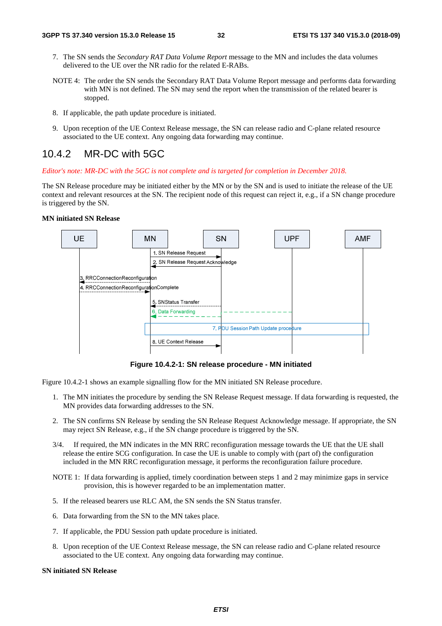- 7. The SN sends the *Secondary RAT Data Volume Report* message to the MN and includes the data volumes delivered to the UE over the NR radio for the related E-RABs.
- NOTE 4: The order the SN sends the Secondary RAT Data Volume Report message and performs data forwarding with MN is not defined. The SN may send the report when the transmission of the related bearer is stopped.
- 8. If applicable, the path update procedure is initiated.
- 9. Upon reception of the UE Context Release message, the SN can release radio and C-plane related resource associated to the UE context. Any ongoing data forwarding may continue.

### 10.4.2 MR-DC with 5GC

#### *Editor's note: MR-DC with the 5GC is not complete and is targeted for completion in December 2018.*

The SN Release procedure may be initiated either by the MN or by the SN and is used to initiate the release of the UE context and relevant resources at the SN. The recipient node of this request can reject it, e.g., if a SN change procedure is triggered by the SN.

#### **MN initiated SN Release**



**Figure 10.4.2-1: SN release procedure - MN initiated** 

Figure 10.4.2-1 shows an example signalling flow for the MN initiated SN Release procedure.

- 1. The MN initiates the procedure by sending the SN Release Request message. If data forwarding is requested, the MN provides data forwarding addresses to the SN.
- 2. The SN confirms SN Release by sending the SN Release Request Acknowledge message. If appropriate, the SN may reject SN Release, e.g., if the SN change procedure is triggered by the SN.
- 3/4. If required, the MN indicates in the MN RRC reconfiguration message towards the UE that the UE shall release the entire SCG configuration. In case the UE is unable to comply with (part of) the configuration included in the MN RRC reconfiguration message, it performs the reconfiguration failure procedure.
- NOTE 1: If data forwarding is applied, timely coordination between steps 1 and 2 may minimize gaps in service provision, this is however regarded to be an implementation matter.
- 5. If the released bearers use RLC AM, the SN sends the SN Status transfer.
- 6. Data forwarding from the SN to the MN takes place.
- 7. If applicable, the PDU Session path update procedure is initiated.
- 8. Upon reception of the UE Context Release message, the SN can release radio and C-plane related resource associated to the UE context. Any ongoing data forwarding may continue.

#### **SN initiated SN Release**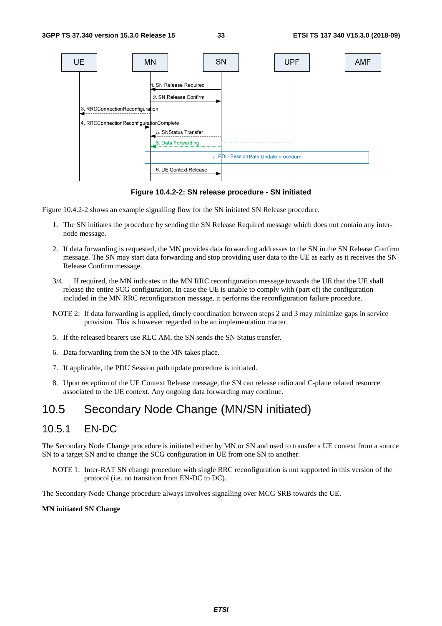

**Figure 10.4.2-2: SN release procedure - SN initiated** 

Figure 10.4.2-2 shows an example signalling flow for the SN initiated SN Release procedure.

- 1. The SN initiates the procedure by sending the SN Release Required message which does not contain any internode message.
- 2. If data forwarding is requested, the MN provides data forwarding addresses to the SN in the SN Release Confirm message. The SN may start data forwarding and stop providing user data to the UE as early as it receives the SN Release Confirm message.
- 3/4. If required, the MN indicates in the MN RRC reconfiguration message towards the UE that the UE shall release the entire SCG configuration. In case the UE is unable to comply with (part of) the configuration included in the MN RRC reconfiguration message, it performs the reconfiguration failure procedure.
- NOTE 2: If data forwarding is applied, timely coordination between steps 2 and 3 may minimize gaps in service provision. This is however regarded to be an implementation matter.
- 5. If the released bearers use RLC AM, the SN sends the SN Status transfer.
- 6. Data forwarding from the SN to the MN takes place.
- 7. If applicable, the PDU Session path update procedure is initiated.
- 8. Upon reception of the UE Context Release message, the SN can release radio and C-plane related resource associated to the UE context. Any ongoing data forwarding may continue.

## 10.5 Secondary Node Change (MN/SN initiated)

### 10.5.1 EN-DC

The Secondary Node Change procedure is initiated either by MN or SN and used to transfer a UE context from a source SN to a target SN and to change the SCG configuration in UE from one SN to another.

NOTE 1: Inter-RAT SN change procedure with single RRC reconfiguration is not supported in this version of the protocol (i.e. no transition from EN-DC to DC).

The Secondary Node Change procedure always involves signalling over MCG SRB towards the UE.

#### **MN initiated SN Change**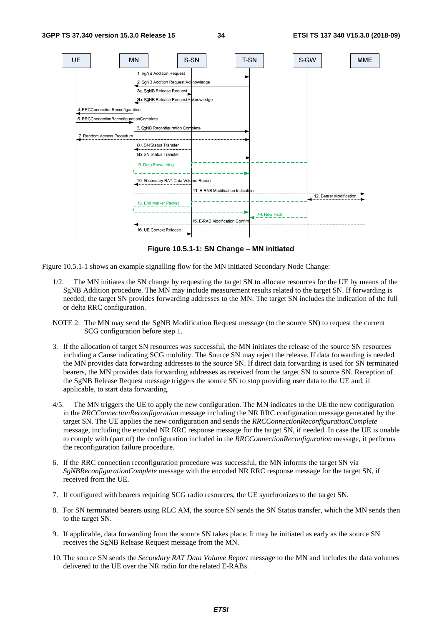

**Figure 10.5.1-1: SN Change – MN initiated** 

Figure 10.5.1-1 shows an example signalling flow for the MN initiated Secondary Node Change:

- 1/2. The MN initiates the SN change by requesting the target SN to allocate resources for the UE by means of the SgNB Addition procedure. The MN may include measurement results related to the target SN. If forwarding is needed, the target SN provides forwarding addresses to the MN. The target SN includes the indication of the full or delta RRC configuration.
- NOTE 2: The MN may send the SgNB Modification Request message (to the source SN) to request the current SCG configuration before step 1.
- 3. If the allocation of target SN resources was successful, the MN initiates the release of the source SN resources including a Cause indicating SCG mobility. The Source SN may reject the release. If data forwarding is needed the MN provides data forwarding addresses to the source SN. If direct data forwarding is used for SN terminated bearers, the MN provides data forwarding addresses as received from the target SN to source SN. Reception of the SgNB Release Request message triggers the source SN to stop providing user data to the UE and, if applicable, to start data forwarding.
- 4/5. The MN triggers the UE to apply the new configuration. The MN indicates to the UE the new configuration in the *RRCConnectionReconfiguration* message including the NR RRC configuration message generated by the target SN. The UE applies the new configuration and sends the *RRCConnectionReconfigurationComplete* message, including the encoded NR RRC response message for the target SN, if needed. In case the UE is unable to comply with (part of) the configuration included in the *RRCConnectionReconfiguration* message, it performs the reconfiguration failure procedure.
- 6. If the RRC connection reconfiguration procedure was successful, the MN informs the target SN via *SgNBReconfigurationComplete* message with the encoded NR RRC response message for the target SN, if received from the UE.
- 7. If configured with bearers requiring SCG radio resources, the UE synchronizes to the target SN.
- 8. For SN terminated bearers using RLC AM, the source SN sends the SN Status transfer, which the MN sends then to the target SN.
- 9. If applicable, data forwarding from the source SN takes place. It may be initiated as early as the source SN receives the SgNB Release Request message from the MN.
- 10. The source SN sends the *Secondary RAT Data Volume Report* message to the MN and includes the data volumes delivered to the UE over the NR radio for the related E-RABs.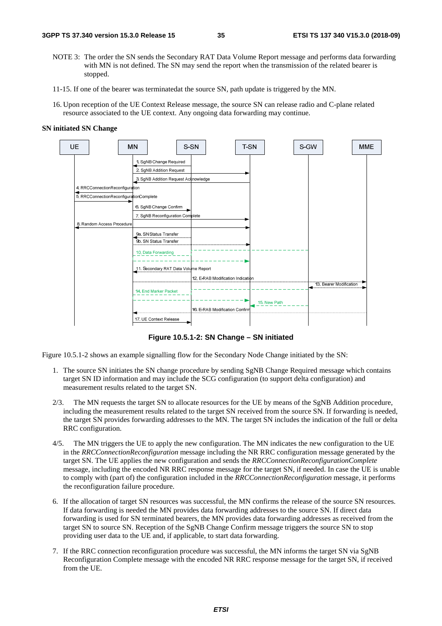- NOTE 3: The order the SN sends the Secondary RAT Data Volume Report message and performs data forwarding with MN is not defined. The SN may send the report when the transmission of the related bearer is stopped.
- 11-15. If one of the bearer was terminatedat the source SN, path update is triggered by the MN.
- 16. Upon reception of the UE Context Release message, the source SN can release radio and C-plane related resource associated to the UE context. Any ongoing data forwarding may continue.

#### **SN initiated SN Change**



**Figure 10.5.1-2: SN Change – SN initiated** 

Figure 10.5.1-2 shows an example signalling flow for the Secondary Node Change initiated by the SN:

- 1. The source SN initiates the SN change procedure by sending SgNB Change Required message which contains target SN ID information and may include the SCG configuration (to support delta configuration) and measurement results related to the target SN.
- 2/3. The MN requests the target SN to allocate resources for the UE by means of the SgNB Addition procedure, including the measurement results related to the target SN received from the source SN. If forwarding is needed, the target SN provides forwarding addresses to the MN. The target SN includes the indication of the full or delta RRC configuration.
- 4/5. The MN triggers the UE to apply the new configuration. The MN indicates the new configuration to the UE in the *RRCConnectionReconfiguration* message including the NR RRC configuration message generated by the target SN. The UE applies the new configuration and sends the *RRCConnectionReconfigurationComplete* message, including the encoded NR RRC response message for the target SN, if needed. In case the UE is unable to comply with (part of) the configuration included in the *RRCConnectionReconfiguration* message, it performs the reconfiguration failure procedure.
- 6. If the allocation of target SN resources was successful, the MN confirms the release of the source SN resources. If data forwarding is needed the MN provides data forwarding addresses to the source SN. If direct data forwarding is used for SN terminated bearers, the MN provides data forwarding addresses as received from the target SN to source SN. Reception of the SgNB Change Confirm message triggers the source SN to stop providing user data to the UE and, if applicable, to start data forwarding.
- 7. If the RRC connection reconfiguration procedure was successful, the MN informs the target SN via SgNB Reconfiguration Complete message with the encoded NR RRC response message for the target SN, if received from the UE.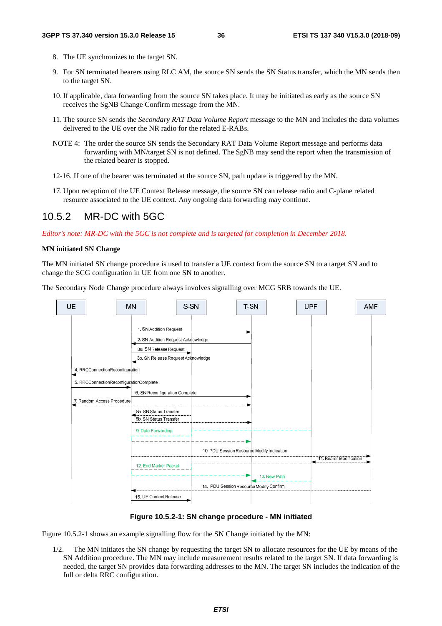- 8. The UE synchronizes to the target SN.
- 9. For SN terminated bearers using RLC AM, the source SN sends the SN Status transfer, which the MN sends then to the target SN.
- 10. If applicable, data forwarding from the source SN takes place. It may be initiated as early as the source SN receives the SgNB Change Confirm message from the MN.
- 11. The source SN sends the *Secondary RAT Data Volume Report* message to the MN and includes the data volumes delivered to the UE over the NR radio for the related E-RABs.
- NOTE 4: The order the source SN sends the Secondary RAT Data Volume Report message and performs data forwarding with MN/target SN is not defined. The SgNB may send the report when the transmission of the related bearer is stopped.
- 12-16. If one of the bearer was terminated at the source SN, path update is triggered by the MN.
- 17. Upon reception of the UE Context Release message, the source SN can release radio and C-plane related resource associated to the UE context. Any ongoing data forwarding may continue.

### 10.5.2 MR-DC with 5GC

*Editor's note: MR-DC with the 5GC is not complete and is targeted for completion in December 2018.* 

#### **MN initiated SN Change**

The MN initiated SN change procedure is used to transfer a UE context from the source SN to a target SN and to change the SCG configuration in UE from one SN to another.

The Secondary Node Change procedure always involves signalling over MCG SRB towards the UE.



#### **Figure 10.5.2-1: SN change procedure - MN initiated**

Figure 10.5.2-1 shows an example signalling flow for the SN Change initiated by the MN:

1/2. The MN initiates the SN change by requesting the target SN to allocate resources for the UE by means of the SN Addition procedure. The MN may include measurement results related to the target SN. If data forwarding is needed, the target SN provides data forwarding addresses to the MN. The target SN includes the indication of the full or delta RRC configuration.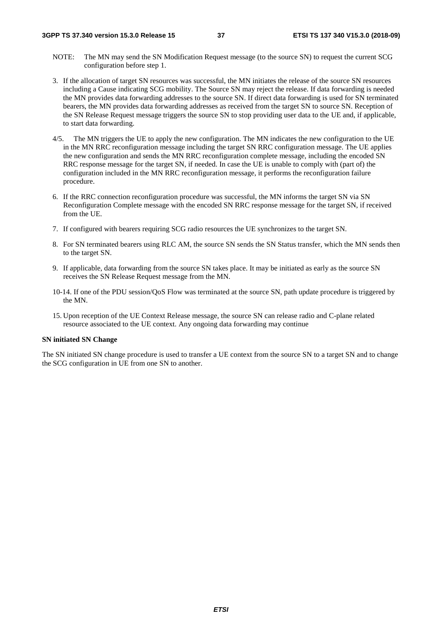- NOTE: The MN may send the SN Modification Request message (to the source SN) to request the current SCG configuration before step 1.
- 3. If the allocation of target SN resources was successful, the MN initiates the release of the source SN resources including a Cause indicating SCG mobility. The Source SN may reject the release. If data forwarding is needed the MN provides data forwarding addresses to the source SN. If direct data forwarding is used for SN terminated bearers, the MN provides data forwarding addresses as received from the target SN to source SN. Reception of the SN Release Request message triggers the source SN to stop providing user data to the UE and, if applicable, to start data forwarding.
- 4/5. The MN triggers the UE to apply the new configuration. The MN indicates the new configuration to the UE in the MN RRC reconfiguration message including the target SN RRC configuration message. The UE applies the new configuration and sends the MN RRC reconfiguration complete message, including the encoded SN RRC response message for the target SN, if needed. In case the UE is unable to comply with (part of) the configuration included in the MN RRC reconfiguration message, it performs the reconfiguration failure procedure.
- 6. If the RRC connection reconfiguration procedure was successful, the MN informs the target SN via SN Reconfiguration Complete message with the encoded SN RRC response message for the target SN, if received from the UE.
- 7. If configured with bearers requiring SCG radio resources the UE synchronizes to the target SN.
- 8. For SN terminated bearers using RLC AM, the source SN sends the SN Status transfer, which the MN sends then to the target SN.
- 9. If applicable, data forwarding from the source SN takes place. It may be initiated as early as the source SN receives the SN Release Request message from the MN.
- 10-14. If one of the PDU session/QoS Flow was terminated at the source SN, path update procedure is triggered by the MN.
- 15. Upon reception of the UE Context Release message, the source SN can release radio and C-plane related resource associated to the UE context. Any ongoing data forwarding may continue

#### **SN initiated SN Change**

The SN initiated SN change procedure is used to transfer a UE context from the source SN to a target SN and to change the SCG configuration in UE from one SN to another.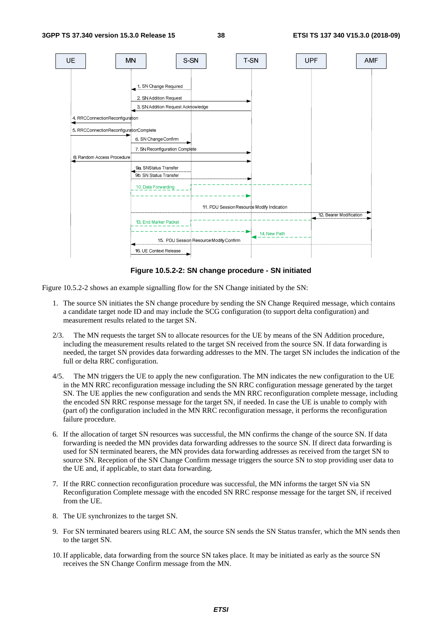

**Figure 10.5.2-2: SN change procedure - SN initiated** 

Figure 10.5.2-2 shows an example signalling flow for the SN Change initiated by the SN:

- 1. The source SN initiates the SN change procedure by sending the SN Change Required message, which contains a candidate target node ID and may include the SCG configuration (to support delta configuration) and measurement results related to the target SN.
- 2/3. The MN requests the target SN to allocate resources for the UE by means of the SN Addition procedure, including the measurement results related to the target SN received from the source SN. If data forwarding is needed, the target SN provides data forwarding addresses to the MN. The target SN includes the indication of the full or delta RRC configuration.
- 4/5. The MN triggers the UE to apply the new configuration. The MN indicates the new configuration to the UE in the MN RRC reconfiguration message including the SN RRC configuration message generated by the target SN. The UE applies the new configuration and sends the MN RRC reconfiguration complete message, including the encoded SN RRC response message for the target SN, if needed. In case the UE is unable to comply with (part of) the configuration included in the MN RRC reconfiguration message, it performs the reconfiguration failure procedure.
- 6. If the allocation of target SN resources was successful, the MN confirms the change of the source SN. If data forwarding is needed the MN provides data forwarding addresses to the source SN. If direct data forwarding is used for SN terminated bearers, the MN provides data forwarding addresses as received from the target SN to source SN. Reception of the SN Change Confirm message triggers the source SN to stop providing user data to the UE and, if applicable, to start data forwarding.
- 7. If the RRC connection reconfiguration procedure was successful, the MN informs the target SN via SN Reconfiguration Complete message with the encoded SN RRC response message for the target SN, if received from the UE.
- 8. The UE synchronizes to the target SN.
- 9. For SN terminated bearers using RLC AM, the source SN sends the SN Status transfer, which the MN sends then to the target SN.
- 10. If applicable, data forwarding from the source SN takes place. It may be initiated as early as the source SN receives the SN Change Confirm message from the MN.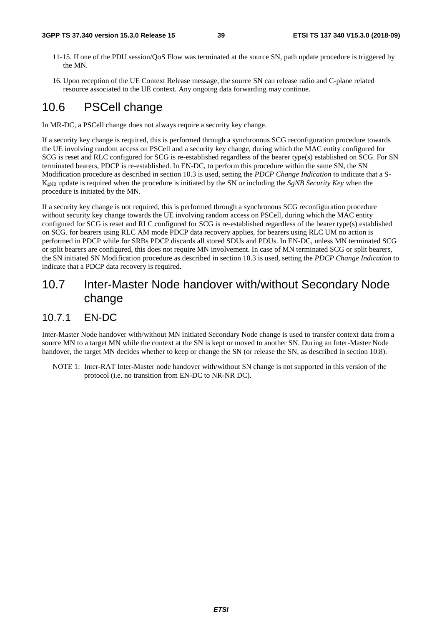#### **3GPP TS 37.340 version 15.3.0 Release 15 39 ETSI TS 137 340 V15.3.0 (2018-09)**

- 11-15. If one of the PDU session/QoS Flow was terminated at the source SN, path update procedure is triggered by the MN.
- 16. Upon reception of the UE Context Release message, the source SN can release radio and C-plane related resource associated to the UE context. Any ongoing data forwarding may continue.

## 10.6 PSCell change

In MR-DC, a PSCell change does not always require a security key change.

If a security key change is required, this is performed through a synchronous SCG reconfiguration procedure towards the UE involving random access on PSCell and a security key change, during which the MAC entity configured for SCG is reset and RLC configured for SCG is re-established regardless of the bearer type(s) established on SCG. For SN terminated bearers, PDCP is re-established. In EN-DC, to perform this procedure within the same SN, the SN Modification procedure as described in section 10.3 is used, setting the *PDCP Change Indication* to indicate that a S-KgNB update is required when the procedure is initiated by the SN or including the *SgNB Security Key* when the procedure is initiated by the MN.

If a security key change is not required, this is performed through a synchronous SCG reconfiguration procedure without security key change towards the UE involving random access on PSCell, during which the MAC entity configured for SCG is reset and RLC configured for SCG is re-established regardless of the bearer type(s) established on SCG. for bearers using RLC AM mode PDCP data recovery applies, for bearers using RLC UM no action is performed in PDCP while for SRBs PDCP discards all stored SDUs and PDUs. In EN-DC, unless MN terminated SCG or split bearers are configured, this does not require MN involvement. In case of MN terminated SCG or split bearers, the SN initiated SN Modification procedure as described in section 10.3 is used, setting the *PDCP Change Indication* to indicate that a PDCP data recovery is required.

## 10.7 Inter-Master Node handover with/without Secondary Node change

### 10.7.1 EN-DC

Inter-Master Node handover with/without MN initiated Secondary Node change is used to transfer context data from a source MN to a target MN while the context at the SN is kept or moved to another SN. During an Inter-Master Node handover, the target MN decides whether to keep or change the SN (or release the SN, as described in section 10.8).

NOTE 1: Inter-RAT Inter-Master node handover with/without SN change is not supported in this version of the protocol (i.e. no transition from EN-DC to NR-NR DC).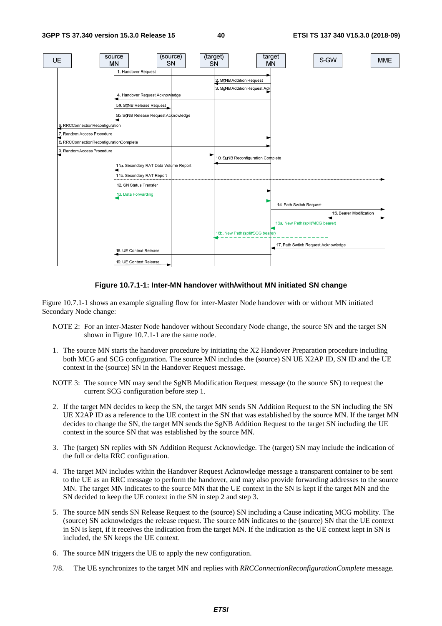

#### **Figure 10.7.1-1: Inter-MN handover with/without MN initiated SN change**

Figure 10.7.1-1 shows an example signaling flow for inter-Master Node handover with or without MN initiated Secondary Node change:

- NOTE 2: For an inter-Master Node handover without Secondary Node change, the source SN and the target SN shown in Figure 10.7.1-1 are the same node.
- 1. The source MN starts the handover procedure by initiating the X2 Handover Preparation procedure including both MCG and SCG configuration. The source MN includes the (source) SN UE X2AP ID, SN ID and the UE context in the (source) SN in the Handover Request message.
- NOTE 3: The source MN may send the SgNB Modification Request message (to the source SN) to request the current SCG configuration before step 1.
- 2. If the target MN decides to keep the SN, the target MN sends SN Addition Request to the SN including the SN UE X2AP ID as a reference to the UE context in the SN that was established by the source MN. If the target MN decides to change the SN, the target MN sends the SgNB Addition Request to the target SN including the UE context in the source SN that was established by the source MN.
- 3. The (target) SN replies with SN Addition Request Acknowledge. The (target) SN may include the indication of the full or delta RRC configuration.
- 4. The target MN includes within the Handover Request Acknowledge message a transparent container to be sent to the UE as an RRC message to perform the handover, and may also provide forwarding addresses to the source MN. The target MN indicates to the source MN that the UE context in the SN is kept if the target MN and the SN decided to keep the UE context in the SN in step 2 and step 3.
- 5. The source MN sends SN Release Request to the (source) SN including a Cause indicating MCG mobility. The (source) SN acknowledges the release request. The source MN indicates to the (source) SN that the UE context in SN is kept, if it receives the indication from the target MN. If the indication as the UE context kept in SN is included, the SN keeps the UE context.
- 6. The source MN triggers the UE to apply the new configuration.
- 7/8. The UE synchronizes to the target MN and replies with *RRCConnectionReconfigurationComplete* message.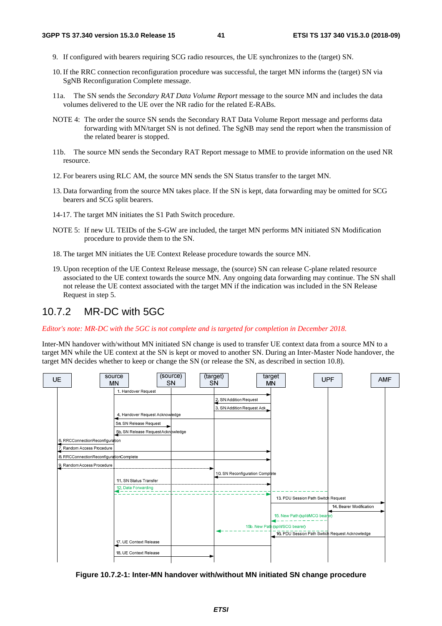- 9. If configured with bearers requiring SCG radio resources, the UE synchronizes to the (target) SN.
- 10. If the RRC connection reconfiguration procedure was successful, the target MN informs the (target) SN via SgNB Reconfiguration Complete message.
- 11a. The SN sends the *Secondary RAT Data Volume Report* message to the source MN and includes the data volumes delivered to the UE over the NR radio for the related E-RABs.
- NOTE 4: The order the source SN sends the Secondary RAT Data Volume Report message and performs data forwarding with MN/target SN is not defined. The SgNB may send the report when the transmission of the related bearer is stopped.
- 11b. The source MN sends the Secondary RAT Report message to MME to provide information on the used NR resource.
- 12. For bearers using RLC AM, the source MN sends the SN Status transfer to the target MN.
- 13. Data forwarding from the source MN takes place. If the SN is kept, data forwarding may be omitted for SCG bearers and SCG split bearers.
- 14-17. The target MN initiates the S1 Path Switch procedure.
- NOTE 5: If new UL TEIDs of the S-GW are included, the target MN performs MN initiated SN Modification procedure to provide them to the SN.
- 18. The target MN initiates the UE Context Release procedure towards the source MN.
- 19. Upon reception of the UE Context Release message, the (source) SN can release C-plane related resource associated to the UE context towards the source MN. Any ongoing data forwarding may continue. The SN shall not release the UE context associated with the target MN if the indication was included in the SN Release Request in step 5.

### 10.7.2 MR-DC with 5GC

*Editor's note: MR-DC with the 5GC is not complete and is targeted for completion in December 2018.* 

Inter-MN handover with/without MN initiated SN change is used to transfer UE context data from a source MN to a target MN while the UE context at the SN is kept or moved to another SN. During an Inter-Master Node handover, the target MN decides whether to keep or change the SN (or release the SN, as described in section 10.8).



**Figure 10.7.2-1: Inter-MN handover with/without MN initiated SN change procedure**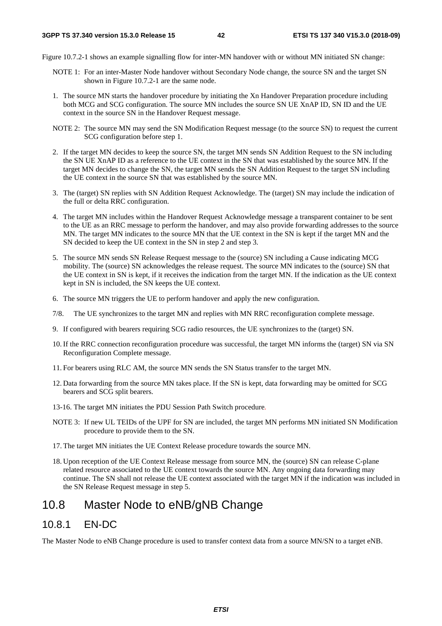Figure 10.7.2-1 shows an example signalling flow for inter-MN handover with or without MN initiated SN change:

- NOTE 1: For an inter-Master Node handover without Secondary Node change, the source SN and the target SN shown in Figure 10.7.2-1 are the same node.
- 1. The source MN starts the handover procedure by initiating the Xn Handover Preparation procedure including both MCG and SCG configuration. The source MN includes the source SN UE XnAP ID, SN ID and the UE context in the source SN in the Handover Request message.
- NOTE 2: The source MN may send the SN Modification Request message (to the source SN) to request the current SCG configuration before step 1.
- 2. If the target MN decides to keep the source SN, the target MN sends SN Addition Request to the SN including the SN UE XnAP ID as a reference to the UE context in the SN that was established by the source MN. If the target MN decides to change the SN, the target MN sends the SN Addition Request to the target SN including the UE context in the source SN that was established by the source MN.
- 3. The (target) SN replies with SN Addition Request Acknowledge. The (target) SN may include the indication of the full or delta RRC configuration.
- 4. The target MN includes within the Handover Request Acknowledge message a transparent container to be sent to the UE as an RRC message to perform the handover, and may also provide forwarding addresses to the source MN. The target MN indicates to the source MN that the UE context in the SN is kept if the target MN and the SN decided to keep the UE context in the SN in step 2 and step 3.
- 5. The source MN sends SN Release Request message to the (source) SN including a Cause indicating MCG mobility. The (source) SN acknowledges the release request. The source MN indicates to the (source) SN that the UE context in SN is kept, if it receives the indication from the target MN. If the indication as the UE context kept in SN is included, the SN keeps the UE context.
- 6. The source MN triggers the UE to perform handover and apply the new configuration.
- 7/8. The UE synchronizes to the target MN and replies with MN RRC reconfiguration complete message.
- 9. If configured with bearers requiring SCG radio resources, the UE synchronizes to the (target) SN.
- 10. If the RRC connection reconfiguration procedure was successful, the target MN informs the (target) SN via SN Reconfiguration Complete message.
- 11. For bearers using RLC AM, the source MN sends the SN Status transfer to the target MN.
- 12. Data forwarding from the source MN takes place. If the SN is kept, data forwarding may be omitted for SCG bearers and SCG split bearers.
- 13-16. The target MN initiates the PDU Session Path Switch procedure*.*
- NOTE 3: If new UL TEIDs of the UPF for SN are included, the target MN performs MN initiated SN Modification procedure to provide them to the SN.
- 17. The target MN initiates the UE Context Release procedure towards the source MN.
- 18. Upon reception of the UE Context Release message from source MN, the (source) SN can release C-plane related resource associated to the UE context towards the source MN. Any ongoing data forwarding may continue. The SN shall not release the UE context associated with the target MN if the indication was included in the SN Release Request message in step 5.

## 10.8 Master Node to eNB/gNB Change

### 10.8.1 EN-DC

The Master Node to eNB Change procedure is used to transfer context data from a source MN/SN to a target eNB.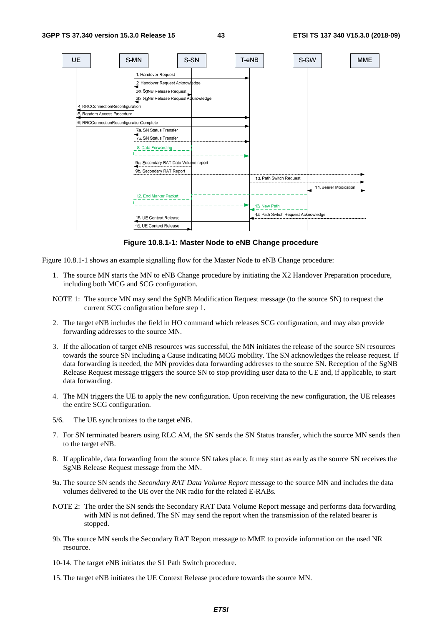

**Figure 10.8.1-1: Master Node to eNB Change procedure** 

Figure 10.8.1-1 shows an example signalling flow for the Master Node to eNB Change procedure:

- 1. The source MN starts the MN to eNB Change procedure by initiating the X2 Handover Preparation procedure, including both MCG and SCG configuration.
- NOTE 1: The source MN may send the SgNB Modification Request message (to the source SN) to request the current SCG configuration before step 1.
- 2. The target eNB includes the field in HO command which releases SCG configuration, and may also provide forwarding addresses to the source MN.
- 3. If the allocation of target eNB resources was successful, the MN initiates the release of the source SN resources towards the source SN including a Cause indicating MCG mobility. The SN acknowledges the release request. If data forwarding is needed, the MN provides data forwarding addresses to the source SN. Reception of the SgNB Release Request message triggers the source SN to stop providing user data to the UE and, if applicable, to start data forwarding.
- 4. The MN triggers the UE to apply the new configuration. Upon receiving the new configuration, the UE releases the entire SCG configuration.
- 5/6. The UE synchronizes to the target eNB.
- 7. For SN terminated bearers using RLC AM, the SN sends the SN Status transfer, which the source MN sends then to the target eNB.
- 8. If applicable, data forwarding from the source SN takes place. It may start as early as the source SN receives the SgNB Release Request message from the MN.
- 9a. The source SN sends the *Secondary RAT Data Volume Report* message to the source MN and includes the data volumes delivered to the UE over the NR radio for the related E-RABs.
- NOTE 2: The order the SN sends the Secondary RAT Data Volume Report message and performs data forwarding with MN is not defined. The SN may send the report when the transmission of the related bearer is stopped.
- 9b. The source MN sends the Secondary RAT Report message to MME to provide information on the used NR resource.
- 10-14. The target eNB initiates the S1 Path Switch procedure.
- 15. The target eNB initiates the UE Context Release procedure towards the source MN.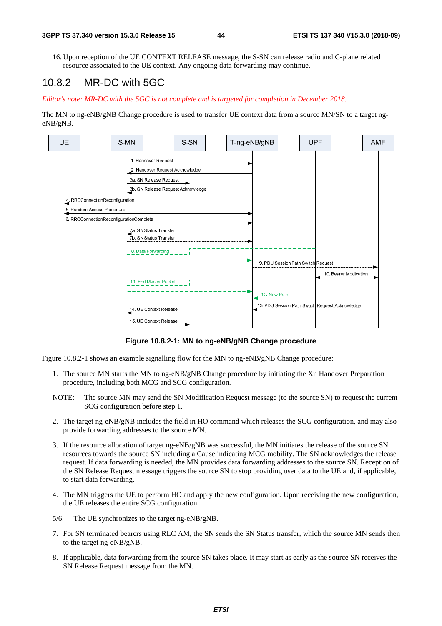16. Upon reception of the UE CONTEXT RELEASE message, the S-SN can release radio and C-plane related resource associated to the UE context. Any ongoing data forwarding may continue.

### 10.8.2 MR-DC with 5GC

*Editor's note: MR-DC with the 5GC is not complete and is targeted for completion in December 2018.* 

The MN to ng-eNB/gNB Change procedure is used to transfer UE context data from a source MN/SN to a target ngeNB/gNB.



**Figure 10.8.2-1: MN to ng-eNB/gNB Change procedure** 

Figure 10.8.2-1 shows an example signalling flow for the MN to ng-eNB/gNB Change procedure:

- 1. The source MN starts the MN to ng-eNB/gNB Change procedure by initiating the Xn Handover Preparation procedure, including both MCG and SCG configuration.
- NOTE: The source MN may send the SN Modification Request message (to the source SN) to request the current SCG configuration before step 1.
- 2. The target ng-eNB/gNB includes the field in HO command which releases the SCG configuration, and may also provide forwarding addresses to the source MN.
- 3. If the resource allocation of target ng-eNB/gNB was successful, the MN initiates the release of the source SN resources towards the source SN including a Cause indicating MCG mobility. The SN acknowledges the release request. If data forwarding is needed, the MN provides data forwarding addresses to the source SN. Reception of the SN Release Request message triggers the source SN to stop providing user data to the UE and, if applicable, to start data forwarding.
- 4. The MN triggers the UE to perform HO and apply the new configuration. Upon receiving the new configuration, the UE releases the entire SCG configuration.
- 5/6. The UE synchronizes to the target ng-eNB/gNB.
- 7. For SN terminated bearers using RLC AM, the SN sends the SN Status transfer, which the source MN sends then to the target ng-eNB/gNB.
- 8. If applicable, data forwarding from the source SN takes place. It may start as early as the source SN receives the SN Release Request message from the MN.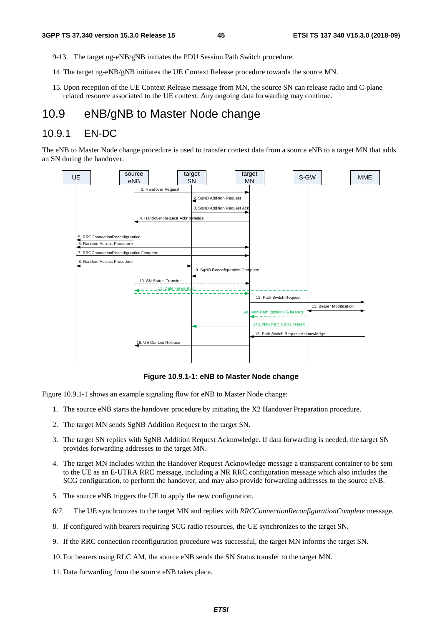- 9-13. The target ng-eNB/gNB initiates the PDU Session Path Switch procedure*.*
- 14. The target ng-eNB/gNB initiates the UE Context Release procedure towards the source MN.
- 15. Upon reception of the UE Context Release message from MN, the source SN can release radio and C-plane related resource associated to the UE context. Any ongoing data forwarding may continue.

## 10.9 eNB/gNB to Master Node change

### 10.9.1 EN-DC

The eNB to Master Node change procedure is used to transfer context data from a source eNB to a target MN that adds an SN during the handover.



**Figure 10.9.1-1: eNB to Master Node change** 

Figure 10.9.1-1 shows an example signaling flow for eNB to Master Node change:

- 1. The source eNB starts the handover procedure by initiating the X2 Handover Preparation procedure.
- 2. The target MN sends SgNB Addition Request to the target SN.
- 3. The target SN replies with SgNB Addition Request Acknowledge. If data forwarding is needed, the target SN provides forwarding addresses to the target MN.
- 4. The target MN includes within the Handover Request Acknowledge message a transparent container to be sent to the UE as an E-UTRA RRC message, including a NR RRC configuration message which also includes the SCG configuration, to perform the handover, and may also provide forwarding addresses to the source eNB.
- 5. The source eNB triggers the UE to apply the new configuration.
- 6/7. The UE synchronizes to the target MN and replies with *RRCConnectionReconfigurationComplete* message.
- 8. If configured with bearers requiring SCG radio resources, the UE synchronizes to the target SN.
- 9. If the RRC connection reconfiguration procedure was successful, the target MN informs the target SN.
- 10. For bearers using RLC AM, the source eNB sends the SN Status transfer to the target MN.
- 11. Data forwarding from the source eNB takes place.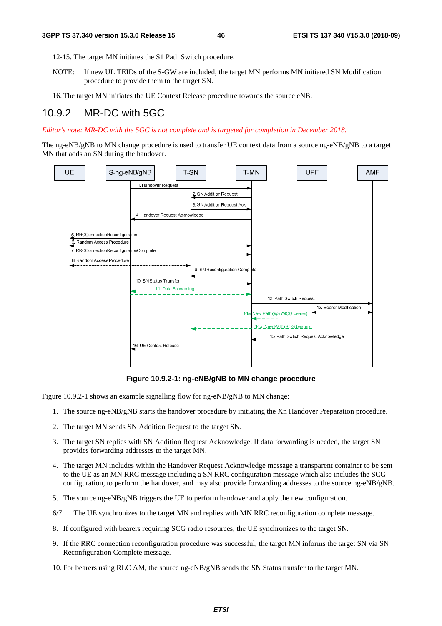- 12-15. The target MN initiates the S1 Path Switch procedure.
- NOTE: If new UL TEIDs of the S-GW are included, the target MN performs MN initiated SN Modification procedure to provide them to the target SN.
- 16. The target MN initiates the UE Context Release procedure towards the source eNB.

#### 10.9.2 MR-DC with 5GC

*Editor's note: MR-DC with the 5GC is not complete and is targeted for completion in December 2018.* 

The ng-eNB/gNB to MN change procedure is used to transfer UE context data from a source ng-eNB/gNB to a target MN that adds an SN during the handover.



**Figure 10.9.2-1: ng-eNB/gNB to MN change procedure** 

Figure 10.9.2-1 shows an example signalling flow for ng-eNB/gNB to MN change:

- 1. The source ng-eNB/gNB starts the handover procedure by initiating the Xn Handover Preparation procedure.
- 2. The target MN sends SN Addition Request to the target SN.
- 3. The target SN replies with SN Addition Request Acknowledge. If data forwarding is needed, the target SN provides forwarding addresses to the target MN.
- 4. The target MN includes within the Handover Request Acknowledge message a transparent container to be sent to the UE as an MN RRC message including a SN RRC configuration message which also includes the SCG configuration, to perform the handover, and may also provide forwarding addresses to the source ng-eNB/gNB.
- 5. The source ng-eNB/gNB triggers the UE to perform handover and apply the new configuration.
- 6/7. The UE synchronizes to the target MN and replies with MN RRC reconfiguration complete message.
- 8. If configured with bearers requiring SCG radio resources, the UE synchronizes to the target SN.
- 9. If the RRC connection reconfiguration procedure was successful, the target MN informs the target SN via SN Reconfiguration Complete message.
- 10. For bearers using RLC AM, the source ng-eNB/gNB sends the SN Status transfer to the target MN.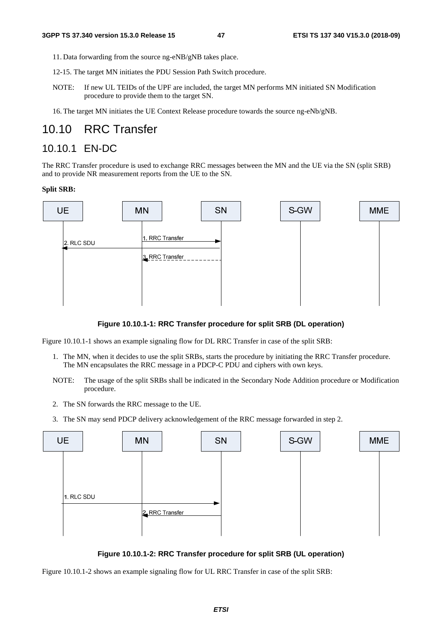- 11. Data forwarding from the source ng-eNB/gNB takes place.
- 12-15. The target MN initiates the PDU Session Path Switch procedure.
- NOTE: If new UL TEIDs of the UPF are included, the target MN performs MN initiated SN Modification procedure to provide them to the target SN.
- 16. The target MN initiates the UE Context Release procedure towards the source ng-eNb/gNB.

### 10.10 RRC Transfer

### 10.10.1 EN-DC

The RRC Transfer procedure is used to exchange RRC messages between the MN and the UE via the SN (split SRB) and to provide NR measurement reports from the UE to the SN.

#### **Split SRB:**



#### **Figure 10.10.1-1: RRC Transfer procedure for split SRB (DL operation)**

Figure 10.10.1-1 shows an example signaling flow for DL RRC Transfer in case of the split SRB:

- 1. The MN, when it decides to use the split SRBs, starts the procedure by initiating the RRC Transfer procedure. The MN encapsulates the RRC message in a PDCP-C PDU and ciphers with own keys.
- NOTE: The usage of the split SRBs shall be indicated in the Secondary Node Addition procedure or Modification procedure.
- 2. The SN forwards the RRC message to the UE.
- 3. The SN may send PDCP delivery acknowledgement of the RRC message forwarded in step 2.



**Figure 10.10.1-2: RRC Transfer procedure for split SRB (UL operation)** 

Figure 10.10.1-2 shows an example signaling flow for UL RRC Transfer in case of the split SRB: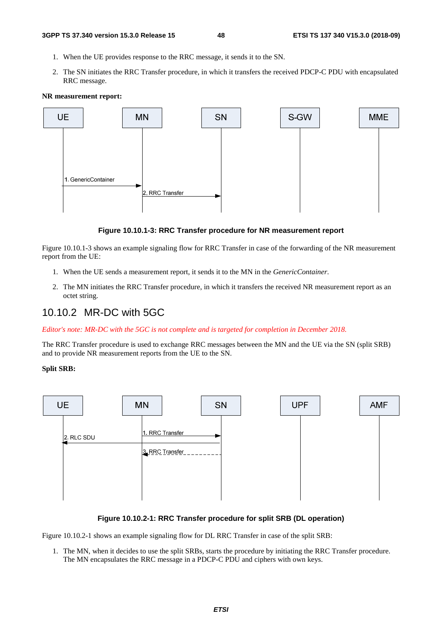- 1. When the UE provides response to the RRC message, it sends it to the SN.
- 2. The SN initiates the RRC Transfer procedure, in which it transfers the received PDCP-C PDU with encapsulated RRC message.

#### **NR measurement report:**



#### **Figure 10.10.1-3: RRC Transfer procedure for NR measurement report**

Figure 10.10.1-3 shows an example signaling flow for RRC Transfer in case of the forwarding of the NR measurement report from the UE:

- 1. When the UE sends a measurement report, it sends it to the MN in the *GenericContainer*.
- 2. The MN initiates the RRC Transfer procedure, in which it transfers the received NR measurement report as an octet string.

### 10.10.2 MR-DC with 5GC

*Editor's note: MR-DC with the 5GC is not complete and is targeted for completion in December 2018.* 

The RRC Transfer procedure is used to exchange RRC messages between the MN and the UE via the SN (split SRB) and to provide NR measurement reports from the UE to the SN.

#### **Split SRB:**



#### **Figure 10.10.2-1: RRC Transfer procedure for split SRB (DL operation)**

Figure 10.10.2-1 shows an example signaling flow for DL RRC Transfer in case of the split SRB:

1. The MN, when it decides to use the split SRBs, starts the procedure by initiating the RRC Transfer procedure. The MN encapsulates the RRC message in a PDCP-C PDU and ciphers with own keys.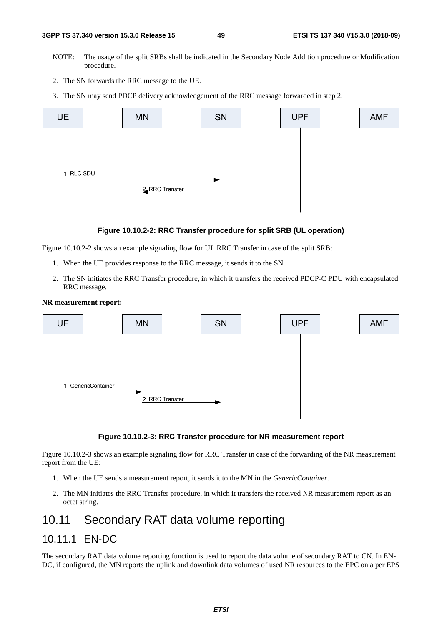- NOTE: The usage of the split SRBs shall be indicated in the Secondary Node Addition procedure or Modification procedure.
- 2. The SN forwards the RRC message to the UE.
- 3. The SN may send PDCP delivery acknowledgement of the RRC message forwarded in step 2.



#### **Figure 10.10.2-2: RRC Transfer procedure for split SRB (UL operation)**

Figure 10.10.2-2 shows an example signaling flow for UL RRC Transfer in case of the split SRB:

- 1. When the UE provides response to the RRC message, it sends it to the SN.
- 2. The SN initiates the RRC Transfer procedure, in which it transfers the received PDCP-C PDU with encapsulated RRC message.

#### **NR measurement report:**



#### **Figure 10.10.2-3: RRC Transfer procedure for NR measurement report**

Figure 10.10.2-3 shows an example signaling flow for RRC Transfer in case of the forwarding of the NR measurement report from the UE:

- 1. When the UE sends a measurement report, it sends it to the MN in the *GenericContainer*.
- 2. The MN initiates the RRC Transfer procedure, in which it transfers the received NR measurement report as an octet string.

## 10.11 Secondary RAT data volume reporting

### 10.11.1 EN-DC

The secondary RAT data volume reporting function is used to report the data volume of secondary RAT to CN. In EN-DC, if configured, the MN reports the uplink and downlink data volumes of used NR resources to the EPC on a per EPS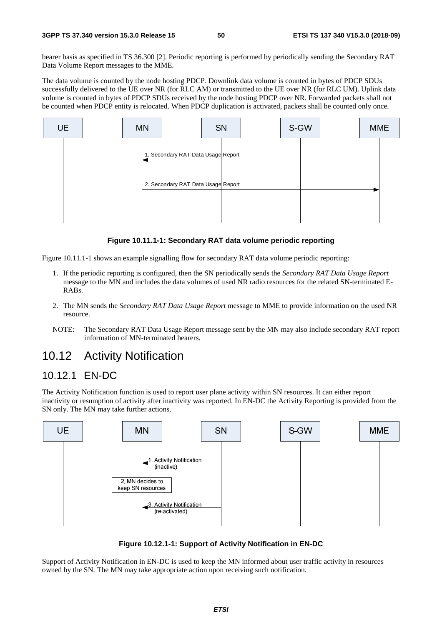bearer basis as specified in TS 36.300 [2]. Periodic reporting is performed by periodically sending the Secondary RAT Data Volume Report messages to the MME.

The data volume is counted by the node hosting PDCP. Downlink data volume is counted in bytes of PDCP SDUs successfully delivered to the UE over NR (for RLC AM) or transmitted to the UE over NR (for RLC UM). Uplink data volume is counted in bytes of PDCP SDUs received by the node hosting PDCP over NR. Forwarded packets shall not be counted when PDCP entity is relocated. When PDCP duplication is activated, packets shall be counted only once.



**Figure 10.11.1-1: Secondary RAT data volume periodic reporting** 

Figure 10.11.1-1 shows an example signalling flow for secondary RAT data volume periodic reporting:

- 1. If the periodic reporting is configured, then the SN periodically sends the *Secondary RAT Data Usage Report* message to the MN and includes the data volumes of used NR radio resources for the related SN-terminated E-RABs.
- 2. The MN sends the *Secondary RAT Data Usage Report* message to MME to provide information on the used NR resource.
- NOTE: The Secondary RAT Data Usage Report message sent by the MN may also include secondary RAT report information of MN-terminated bearers.

## 10.12 Activity Notification

### 10.12.1 EN-DC

The Activity Notification function is used to report user plane activity within SN resources. It can either report inactivity or resumption of activity after inactivity was reported. In EN-DC the Activity Reporting is provided from the SN only. The MN may take further actions.



**Figure 10.12.1-1: Support of Activity Notification in EN-DC** 

Support of Activity Notification in EN-DC is used to keep the MN informed about user traffic activity in resources owned by the SN. The MN may take appropriate action upon receiving such notification.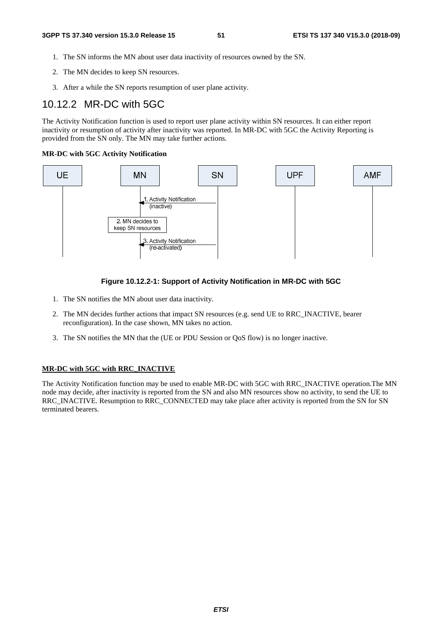- 1. The SN informs the MN about user data inactivity of resources owned by the SN.
- 2. The MN decides to keep SN resources.
- 3. After a while the SN reports resumption of user plane activity.

### 10.12.2 MR-DC with 5GC

The Activity Notification function is used to report user plane activity within SN resources. It can either report inactivity or resumption of activity after inactivity was reported. In MR-DC with 5GC the Activity Reporting is provided from the SN only. The MN may take further actions.

#### **MR-DC with 5GC Activity Notification**



#### **Figure 10.12.2-1: Support of Activity Notification in MR-DC with 5GC**

- 1. The SN notifies the MN about user data inactivity.
- 2. The MN decides further actions that impact SN resources (e.g. send UE to RRC\_INACTIVE, bearer reconfiguration). In the case shown, MN takes no action.
- 3. The SN notifies the MN that the (UE or PDU Session or QoS flow) is no longer inactive.

#### **MR-DC with 5GC with RRC\_INACTIVE**

The Activity Notification function may be used to enable MR-DC with 5GC with RRC\_INACTIVE operation.The MN node may decide, after inactivity is reported from the SN and also MN resources show no activity, to send the UE to RRC\_INACTIVE. Resumption to RRC\_CONNECTED may take place after activity is reported from the SN for SN terminated bearers.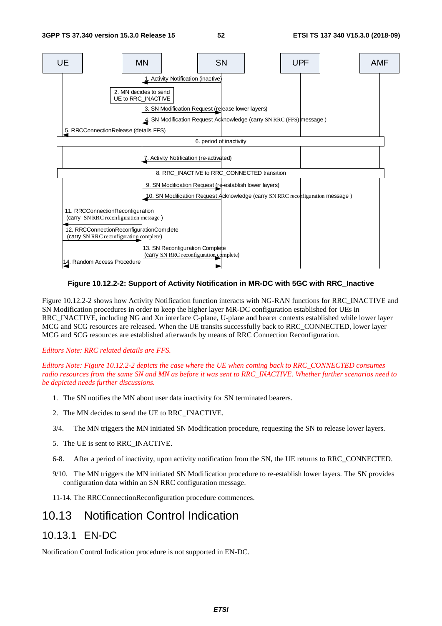

#### **Figure 10.12.2-2: Support of Activity Notification in MR-DC with 5GC with RRC\_Inactive**

Figure 10.12.2-2 shows how Activity Notification function interacts with NG-RAN functions for RRC\_INACTIVE and SN Modification procedures in order to keep the higher layer MR-DC configuration established for UEs in RRC\_INACTIVE, including NG and Xn interface C-plane, U-plane and bearer contexts established while lower layer MCG and SCG resources are released. When the UE transits successfully back to RRC\_CONNECTED, lower layer MCG and SCG resources are established afterwards by means of RRC Connection Reconfiguration.

#### *Editors Note: RRC related details are FFS.*

*Editors Note: Figure 10.12.2-2 depicts the case where the UE when coming back to RRC\_CONNECTED consumes radio resources from the same SN and MN as before it was sent to RRC\_INACTIVE. Whether further scenarios need to be depicted needs further discussions.* 

- 1. The SN notifies the MN about user data inactivity for SN terminated bearers.
- 2. The MN decides to send the UE to RRC\_INACTIVE.
- 3/4. The MN triggers the MN initiated SN Modification procedure, requesting the SN to release lower layers.
- 5. The UE is sent to RRC\_INACTIVE.
- 6-8. After a period of inactivity, upon activity notification from the SN, the UE returns to RRC\_CONNECTED.
- 9/10. The MN triggers the MN initiated SN Modification procedure to re-establish lower layers. The SN provides configuration data within an SN RRC configuration message.
- 11-14. The RRCConnectionReconfiguration procedure commences.

### 10.13 Notification Control Indication

### 10.13.1 EN-DC

Notification Control Indication procedure is not supported in EN-DC.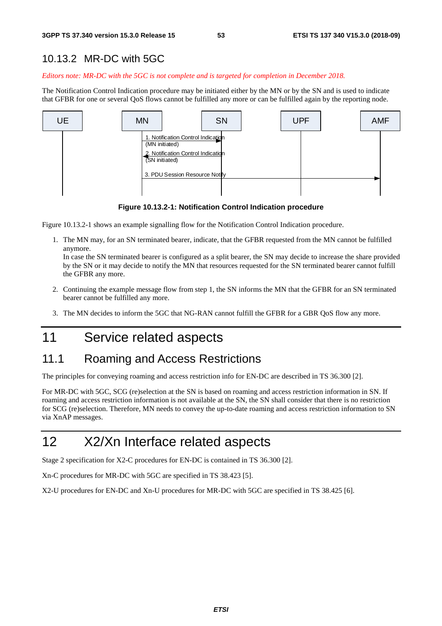## 10.13.2 MR-DC with 5GC

*Editors note: MR-DC with the 5GC is not complete and is targeted for completion in December 2018.* 

The Notification Control Indication procedure may be initiated either by the MN or by the SN and is used to indicate that GFBR for one or several QoS flows cannot be fulfilled any more or can be fulfilled again by the reporting node.



**Figure 10.13.2-1: Notification Control Indication procedure** 

Figure 10.13.2-1 shows an example signalling flow for the Notification Control Indication procedure.

1. The MN may, for an SN terminated bearer, indicate, that the GFBR requested from the MN cannot be fulfilled anymore.

In case the SN terminated bearer is configured as a split bearer, the SN may decide to increase the share provided by the SN or it may decide to notify the MN that resources requested for the SN terminated bearer cannot fulfill the GFBR any more.

- 2. Continuing the example message flow from step 1, the SN informs the MN that the GFBR for an SN terminated bearer cannot be fulfilled any more.
- 3. The MN decides to inform the 5GC that NG-RAN cannot fulfill the GFBR for a GBR QoS flow any more.

## 11 Service related aspects

## 11.1 Roaming and Access Restrictions

The principles for conveying roaming and access restriction info for EN-DC are described in TS 36.300 [2].

For MR-DC with 5GC, SCG (re)selection at the SN is based on roaming and access restriction information in SN. If roaming and access restriction information is not available at the SN, the SN shall consider that there is no restriction for SCG (re)selection. Therefore, MN needs to convey the up-to-date roaming and access restriction information to SN via XnAP messages.

## 12 X2/Xn Interface related aspects

Stage 2 specification for X2-C procedures for EN-DC is contained in TS 36.300 [2].

Xn-C procedures for MR-DC with 5GC are specified in TS 38.423 [5].

X2-U procedures for EN-DC and Xn-U procedures for MR-DC with 5GC are specified in TS 38.425 [6].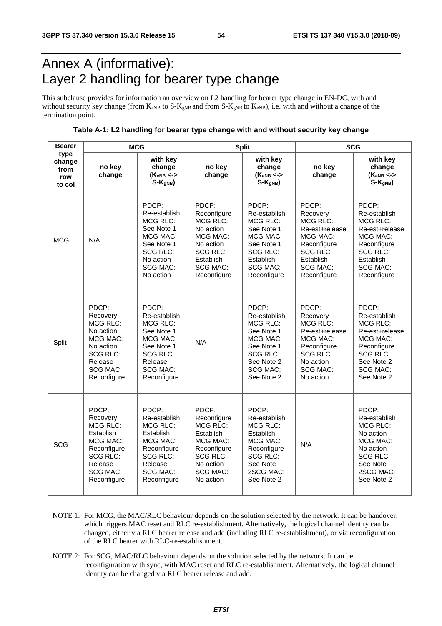## Annex A (informative): Layer 2 handling for bearer type change

This subclause provides for information an overview on L2 handling for bearer type change in EN-DC, with and without security key change (from  $K_{eNB}$  to  $S-K_{gNB}$  and from  $S-K_{gNB}$  to  $K_{eNB}$ ), i.e. with and without a change of the termination point.

**Table A-1: L2 handling for bearer type change with and without security key change** 

| <b>Bearer</b>                           | <b>MCG</b>                                                                                                                                   |                                                                                                                                                  |                                                                                                                                                 | <b>Split</b>                                                                                                                                       | <b>SCG</b>                                                                                                                                          |                                                                                                                                                         |  |
|-----------------------------------------|----------------------------------------------------------------------------------------------------------------------------------------------|--------------------------------------------------------------------------------------------------------------------------------------------------|-------------------------------------------------------------------------------------------------------------------------------------------------|----------------------------------------------------------------------------------------------------------------------------------------------------|-----------------------------------------------------------------------------------------------------------------------------------------------------|---------------------------------------------------------------------------------------------------------------------------------------------------------|--|
| type<br>change<br>from<br>row<br>to col | no key<br>change                                                                                                                             | with key<br>change<br>$(K_{eNB} <$<br>$S-KqNB$                                                                                                   | no key<br>change                                                                                                                                | with key<br>change<br>$(K_{eNB} <$<br>$S-KqNB$                                                                                                     | no key<br>change                                                                                                                                    | with key<br>change<br>$(K_{eNB} <$<br>$S-KqNB$                                                                                                          |  |
| <b>MCG</b>                              | N/A                                                                                                                                          | PDCP:<br>Re-establish<br><b>MCG RLC:</b><br>See Note 1<br>MCG MAC:<br>See Note 1<br><b>SCG RLC:</b><br>No action<br><b>SCG MAC:</b><br>No action | PDCP:<br>Reconfigure<br>MCG RLC:<br>No action<br>MCG MAC:<br>No action<br><b>SCG RLC:</b><br>Establish<br><b>SCG MAC:</b><br>Reconfigure        | PDCP:<br>Re-establish<br><b>MCG RLC:</b><br>See Note 1<br>MCG MAC:<br>See Note 1<br><b>SCG RLC:</b><br>Establish<br><b>SCG MAC:</b><br>Reconfigure | PDCP:<br>Recovery<br><b>MCG RLC:</b><br>Re-est+release<br>MCG MAC:<br>Reconfigure<br><b>SCG RLC:</b><br>Establish<br><b>SCG MAC:</b><br>Reconfigure | PDCP:<br>Re-establish<br><b>MCG RLC:</b><br>Re-est+release<br>MCG MAC:<br>Reconfigure<br><b>SCG RLC:</b><br>Establish<br>SCG MAC:<br>Reconfigure        |  |
| Split                                   | PDCP:<br>Recovery<br><b>MCG RLC:</b><br>No action<br>MCG MAC:<br>No action<br><b>SCG RLC:</b><br>Release<br><b>SCG MAC:</b><br>Reconfigure   | PDCP:<br>Re-establish<br>MCG RLC:<br>See Note 1<br>MCG MAC:<br>See Note 1<br><b>SCG RLC:</b><br>Release<br><b>SCG MAC:</b><br>Reconfigure        | N/A                                                                                                                                             | PDCP:<br>Re-establish<br><b>MCG RLC:</b><br>See Note 1<br>MCG MAC:<br>See Note 1<br><b>SCG RLC:</b><br>See Note 2<br><b>SCG MAC:</b><br>See Note 2 | PDCP:<br>Recovery<br><b>MCG RLC:</b><br>Re-est+release<br>MCG MAC:<br>Reconfigure<br><b>SCG RLC:</b><br>No action<br>SCG MAC:<br>No action          | PDCP:<br>Re-establish<br><b>MCG RLC:</b><br>Re-est+release<br>MCG MAC:<br>Reconfigure<br><b>SCG RLC:</b><br>See Note 2<br><b>SCG MAC:</b><br>See Note 2 |  |
| SCG                                     | PDCP:<br>Recovery<br><b>MCG RLC:</b><br>Establish<br>MCG MAC:<br>Reconfigure<br><b>SCG RLC:</b><br>Release<br><b>SCG MAC:</b><br>Reconfigure | PDCP:<br>Re-establish<br>MCG RLC:<br>Establish<br>MCG MAC:<br>Reconfigure<br><b>SCG RLC:</b><br>Release<br><b>SCG MAC:</b><br>Reconfigure        | PDCP:<br>Reconfigure<br><b>MCG RLC:</b><br>Establish<br>MCG MAC:<br>Reconfigure<br><b>SCG RLC:</b><br>No action<br><b>SCG MAC:</b><br>No action | PDCP:<br>Re-establish<br>MCG RLC:<br>Establish<br>MCG MAC:<br>Reconfigure<br>SCG RLC:<br>See Note<br>2SCG MAC:<br>See Note 2                       | N/A                                                                                                                                                 | PDCP:<br>Re-establish<br><b>MCG RLC:</b><br>No action<br>MCG MAC:<br>No action<br><b>SCG RLC:</b><br>See Note<br>2SCG MAC:<br>See Note 2                |  |

- NOTE 1: For MCG, the MAC/RLC behaviour depends on the solution selected by the network. It can be handover, which triggers MAC reset and RLC re-establishment. Alternatively, the logical channel identity can be changed, either via RLC bearer release and add (including RLC re-establishment), or via reconfiguration of the RLC bearer with RLC-re-establishment.
- NOTE 2: For SCG, MAC/RLC behaviour depends on the solution selected by the network. It can be reconfiguration with sync, with MAC reset and RLC re-establishment. Alternatively, the logical channel identity can be changed via RLC bearer release and add.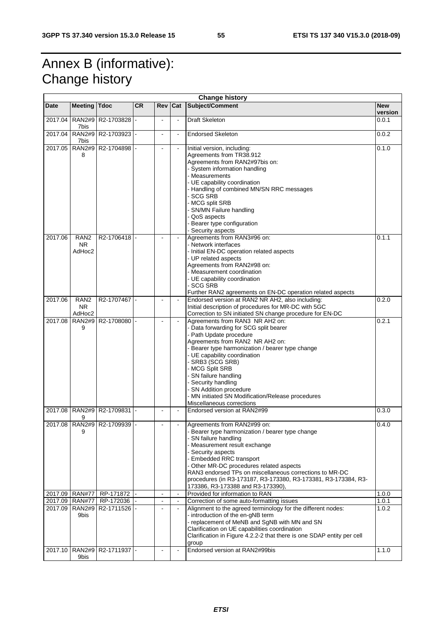## Annex B (informative): Change history

| <b>Change history</b> |                                        |                           |           |                |                          |                                                                                                                                                                                                                                                                                                                                                                                                                                 |                       |
|-----------------------|----------------------------------------|---------------------------|-----------|----------------|--------------------------|---------------------------------------------------------------------------------------------------------------------------------------------------------------------------------------------------------------------------------------------------------------------------------------------------------------------------------------------------------------------------------------------------------------------------------|-----------------------|
| <b>Date</b>           | <b>Meeting</b>                         | <b>Tdoc</b>               | <b>CR</b> | Rev            | Cat                      | Subject/Comment                                                                                                                                                                                                                                                                                                                                                                                                                 | <b>New</b><br>version |
| 2017.04               | <b>RAN2#9</b><br>7bis                  | R2-1703828                |           |                | $\blacksquare$           | <b>Draft Skeleton</b>                                                                                                                                                                                                                                                                                                                                                                                                           | 0.0.1                 |
| 2017.04               | 7bis                                   | RAN2#9 R2-1703923         |           | $\blacksquare$ | $\blacksquare$           | <b>Endorsed Skeleton</b>                                                                                                                                                                                                                                                                                                                                                                                                        | 0.0.2                 |
| 2017.05               | <b>RAN2#9</b><br>8                     | R2-1704898                |           |                |                          | Initial version, including:<br>Agreements from TR38.912<br>Agreements from RAN2#97bis on:<br>- System information handling<br>- Measurements<br>- UE capability coordination<br>- Handling of combined MN/SN RRC messages<br>- SCG SRB<br>- MCG split SRB<br>SN/MN Failure handling<br>- QoS aspects<br>Bearer type configuration<br>- Security aspects                                                                         | 0.1.0                 |
| 2017.06               | RAN <sub>2</sub><br>NR.<br>AdHoc2      | R2-1706418                |           |                |                          | Agreements from RAN3#96 on:<br>- Network interfaces<br>- Initial EN-DC operation related aspects<br>- UP related aspects<br>Agreements from RAN2#98 on:<br>- Measurement coordination<br>- UE capability coordination<br>- SCG SRB<br>Further RAN2 agreements on EN-DC operation related aspects                                                                                                                                | 0.1.1                 |
| 2017.06               | RAN <sub>2</sub><br>NR.<br>AdHoc2      | R2-1707467                |           |                |                          | Endorsed version at RAN2 NR AH2, also including:<br>Initial description of procedures for MR-DC with 5GC<br>Correction to SN initiated SN change procedure for EN-DC                                                                                                                                                                                                                                                            | 0.2.0                 |
| 2017.08               | <b>RAN2#9</b><br>9                     | R2-1708080                |           | $\overline{a}$ | $\mathbf{r}$             | Agreements from RAN3 NR AH2 on:<br>- Data forwarding for SCG split bearer<br>- Path Update procedure<br>Agreements from RAN2 NR AH2 on:<br>- Bearer type harmonization / bearer type change<br>- UE capability coordination<br>- SRB3 (SCG SRB)<br>- MCG Split SRB<br>- SN failure handling<br>- Security handling<br>- SN Addition procedure<br>- MN initiated SN Modification/Release procedures<br>Miscellaneous corrections | 0.2.1                 |
| 2017.08               | <b>RAN2#9</b><br>9                     | R2-1709831                |           |                | $\blacksquare$           | Endorsed version at RAN2#99                                                                                                                                                                                                                                                                                                                                                                                                     | 0.3.0                 |
|                       | 9                                      | 2017.08 RAN2#9 R2-1709939 |           |                | $\blacksquare$           | Agreements from RAN2#99 on:<br>Bearer type harmonization / bearer type change<br>- SN failure handling<br>- Measurement result exchange<br>- Security aspects<br>- Embedded RRC transport<br>- Other MR-DC procedures related aspects<br>RAN3 endorsed TPs on miscellaneous corrections to MR-DC<br>procedures (in R3-173187, R3-173380, R3-173381, R3-173384, R3-<br>173386, R3-173388 and R3-173390),                         | 0.4.0                 |
| 2017.09               | <b>RAN#77</b>                          | RP-171872                 |           | $\blacksquare$ | $\blacksquare$           | Provided for information to RAN                                                                                                                                                                                                                                                                                                                                                                                                 | 1.0.0                 |
| 2017.09<br>2017.09    | <b>RAN#77</b><br><b>RAN2#9</b><br>9bis | RP-172036<br>R2-1711526   |           | $\overline{a}$ | $\blacksquare$<br>$\Box$ | Correction of some auto-formatting issues<br>Alignment to the agreed terminology for the different nodes:<br>- introduction of the en-gNB term<br>- replacement of MeNB and SgNB with MN and SN<br>Clarification on UE capabilities coordination<br>Clarification in Figure 4.2.2-2 that there is one SDAP entity per cell<br>group                                                                                             | 1.0.1<br>1.0.2        |
| 2017.10               | 9bis                                   | RAN2#9   R2-1711937  -    |           |                |                          | Endorsed version at RAN2#99bis                                                                                                                                                                                                                                                                                                                                                                                                  | 1.1.0                 |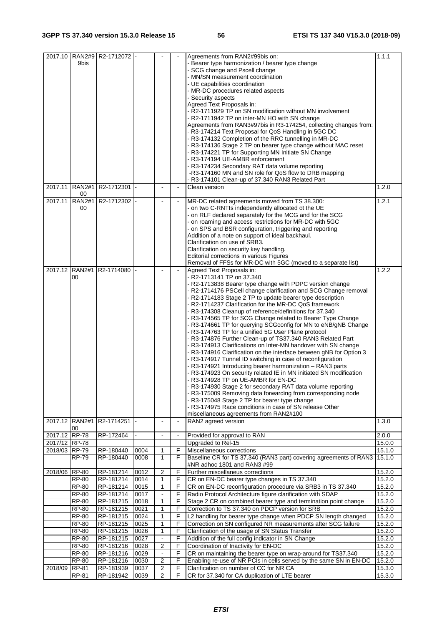| 2017.10                        | 9bis                 | RAN2#9   R2-1712072  - |              |                   |                | Agreements from RAN2#99bis on:<br>- Bearer type harmonization / bearer type change<br>- SCG change and Pscell change<br>- MN/SN measurement coordination<br>- UE capabilities coordination<br>- MR-DC procedures related aspects<br>- Security aspects<br>Agreed Text Proposals in:<br>- R2-1711929 TP on SN modification without MN involvement<br>- R2-1711942 TP on inter-MN HO with SN change<br>Agreements from RAN3#97bis in R3-174254, collecting changes from:<br>- R3-174214 Text Proposal for QoS Handling in 5GC DC<br>- R3-174132 Completion of the RRC tunnelling in MR-DC<br>- R3-174136 Stage 2 TP on bearer type change without MAC reset<br>R3-174221 TP for Supporting MN Initiate SN Change<br>R3-174194 UE-AMBR enforcement<br>- R3-174234 Secondary RAT data volume reporting<br>-R3-174160 MN and SN role for QoS flow to DRB mapping<br>- R3-174101 Clean-up of 37.340 RAN3 Related Part                                                                                                                                                                                                                                                                                                                                                                             | 1.1.1            |
|--------------------------------|----------------------|------------------------|--------------|-------------------|----------------|---------------------------------------------------------------------------------------------------------------------------------------------------------------------------------------------------------------------------------------------------------------------------------------------------------------------------------------------------------------------------------------------------------------------------------------------------------------------------------------------------------------------------------------------------------------------------------------------------------------------------------------------------------------------------------------------------------------------------------------------------------------------------------------------------------------------------------------------------------------------------------------------------------------------------------------------------------------------------------------------------------------------------------------------------------------------------------------------------------------------------------------------------------------------------------------------------------------------------------------------------------------------------------------------|------------------|
| 2017.11                        | <b>RAN2#1</b><br>00  | R2-1712301 -           |              |                   | $\blacksquare$ | Clean version                                                                                                                                                                                                                                                                                                                                                                                                                                                                                                                                                                                                                                                                                                                                                                                                                                                                                                                                                                                                                                                                                                                                                                                                                                                                               | 1.2.0            |
| 2017.11                        | <b>RAN2#1</b><br>00  | R2-1712302             |              |                   |                | MR-DC related agreements moved from TS 38.300:<br>- on two C-RNTIs independently allocated ot the UE<br>- on RLF declared separately for the MCG and for the SCG<br>- on roaming and access restrictions for MR-DC with 5GC<br>- on SPS and BSR configuration, triggering and reporting<br>Addition of a note on support of ideal backhaul.<br>Clarification on use of SRB3.<br>Clarification on security key handling.<br>Editorial corrections in various Figures<br>Removal of FFSs for MR-DC with 5GC (moved to a separate list)                                                                                                                                                                                                                                                                                                                                                                                                                                                                                                                                                                                                                                                                                                                                                        | 1.2.1            |
| 2017.12                        | <b>RAN2#1</b><br>00  | R2-1714080             |              |                   |                | Agreed Text Proposals in:<br>- R2-1713141 TP on 37.340<br>- R2-1713838 Bearer type change with PDPC version change<br>- R2-1714176 PSCell change clarification and SCG Change removal<br>- R2-1714183 Stage 2 TP to update bearer type description<br>- R2-1714237 Clarification for the MR-DC QoS framework<br>- R3-174308 Cleanup of reference/definitions for 37.340<br>- R3-174565 TP for SCG Change related to Bearer Type Change<br>- R3-174661 TP for querying SCGconfig for MN to eNB/gNB Change<br>- R3-174763 TP for a unified 5G User Plane protocol<br>- R3-174876 Further Clean-up of TS37.340 RAN3 Related Part<br>- R3-174913 Clarifications on Inter-MN handover with SN change<br>- R3-174916 Clarification on the interface between gNB for Option 3<br>- R3-174917 Tunnel ID switching in case of reconfiguration<br>R3-174921 Introducing bearer harmonization - RAN3 parts<br>R3-174923 On security related IE in MN initiated SN modification<br>R3-174928 TP on UE-AMBR for EN-DC<br>R3-174930 Stage 2 for secondary RAT data volume reporting<br>- R3-175009 Removing data forwarding from corresponding node<br>- R3-175048 Stage 2 TP for bearer type change<br>- R3-174975 Race conditions in case of SN release Other<br>miscellaneous agreements from RAN2#100 | 1.2.2            |
|                                | 2017.12 RAN2#1<br>00 | R2-1714251             |              |                   | $\blacksquare$ | RAN2 agreed version                                                                                                                                                                                                                                                                                                                                                                                                                                                                                                                                                                                                                                                                                                                                                                                                                                                                                                                                                                                                                                                                                                                                                                                                                                                                         | 1.3.0            |
| 2017.12 RP-78                  |                      | RP-172464              |              | $\blacksquare$    | $\blacksquare$ | Provided for approval to RAN                                                                                                                                                                                                                                                                                                                                                                                                                                                                                                                                                                                                                                                                                                                                                                                                                                                                                                                                                                                                                                                                                                                                                                                                                                                                | 2.0.0            |
| 2017/12 RP-78<br>2018/03 RP-79 |                      |                        | 0004         |                   |                | Upgraded to Rel-15                                                                                                                                                                                                                                                                                                                                                                                                                                                                                                                                                                                                                                                                                                                                                                                                                                                                                                                                                                                                                                                                                                                                                                                                                                                                          | 15.0.0           |
|                                | <b>RP-79</b>         | RP-180440<br>RP-180440 | 0008         | 1<br>$\mathbf{1}$ | F<br>F         | Miscellaneous corrections<br>Baseline CR for TS 37.340 (RAN3 part) covering agreements of RAN3<br>#NR adhoc 1801 and RAN3 #99                                                                                                                                                                                                                                                                                                                                                                                                                                                                                                                                                                                                                                                                                                                                                                                                                                                                                                                                                                                                                                                                                                                                                               | 15.1.0<br>15.1.0 |
| 2018/06 RP-80                  |                      | RP-181214              | 0012         | 2                 | F              | Further miscellaneus corrections                                                                                                                                                                                                                                                                                                                                                                                                                                                                                                                                                                                                                                                                                                                                                                                                                                                                                                                                                                                                                                                                                                                                                                                                                                                            | 15.2.0           |
|                                | <b>RP-80</b>         | RP-181214              | 0014         | $\mathbf{1}$      | F              | CR on EN-DC bearer type changes in TS 37.340                                                                                                                                                                                                                                                                                                                                                                                                                                                                                                                                                                                                                                                                                                                                                                                                                                                                                                                                                                                                                                                                                                                                                                                                                                                | 15.2.0           |
|                                | <b>RP-80</b>         | RP-181214              | 0015         | $\mathbf{1}$      | F              | CR on EN-DC reconfiguration procedure via SRB3 in TS 37.340                                                                                                                                                                                                                                                                                                                                                                                                                                                                                                                                                                                                                                                                                                                                                                                                                                                                                                                                                                                                                                                                                                                                                                                                                                 | 15.2.0           |
|                                | RP-80<br>RP-80       | RP-181214<br>RP-181215 | 0017<br>0018 | 1                 | F<br>F         | Radio Protocol Architecture figure clarification with SDAP<br>Stage 2 CR on combined bearer type and termination point change                                                                                                                                                                                                                                                                                                                                                                                                                                                                                                                                                                                                                                                                                                                                                                                                                                                                                                                                                                                                                                                                                                                                                               | 15.2.0<br>15.2.0 |
|                                | <b>RP-80</b>         | RP-181215              | 0021         | $\mathbf{1}$      | F              | Correction to TS 37.340 on PDCP version for SRB                                                                                                                                                                                                                                                                                                                                                                                                                                                                                                                                                                                                                                                                                                                                                                                                                                                                                                                                                                                                                                                                                                                                                                                                                                             | 15.2.0           |
|                                | RP-80                | RP-181215              | 0024         | 1                 | F              | L2 handling for bearer type change when PDCP SN length changed                                                                                                                                                                                                                                                                                                                                                                                                                                                                                                                                                                                                                                                                                                                                                                                                                                                                                                                                                                                                                                                                                                                                                                                                                              | 15.2.0           |
|                                | <b>RP-80</b>         | RP-181215              | 0025         | 1                 | F              | Correction on SN configured NR measurements after SCG failure                                                                                                                                                                                                                                                                                                                                                                                                                                                                                                                                                                                                                                                                                                                                                                                                                                                                                                                                                                                                                                                                                                                                                                                                                               | 15.2.0           |
|                                | <b>RP-80</b>         | RP-181215              | 0026         | $\mathbf{1}$      | F              | Clarification of the usage of SN Status Transfer                                                                                                                                                                                                                                                                                                                                                                                                                                                                                                                                                                                                                                                                                                                                                                                                                                                                                                                                                                                                                                                                                                                                                                                                                                            | 15.2.0           |
|                                | RP-80                | RP-181215              | 0027         | $\blacksquare$    | F              | Addition of the full config indicator in SN Change                                                                                                                                                                                                                                                                                                                                                                                                                                                                                                                                                                                                                                                                                                                                                                                                                                                                                                                                                                                                                                                                                                                                                                                                                                          | 15.2.0           |
|                                | <b>RP-80</b>         | RP-181216              | 0028         | $\overline{2}$    | F              | Coordination of Inactivity for EN-DC                                                                                                                                                                                                                                                                                                                                                                                                                                                                                                                                                                                                                                                                                                                                                                                                                                                                                                                                                                                                                                                                                                                                                                                                                                                        | 15.2.0           |
|                                | <b>RP-80</b>         | RP-181216              | 0029         | $\Box$            | F              | CR on maintaining the bearer type on wrap-around for TS37.340                                                                                                                                                                                                                                                                                                                                                                                                                                                                                                                                                                                                                                                                                                                                                                                                                                                                                                                                                                                                                                                                                                                                                                                                                               | 15.2.0           |
|                                | RP-80                | RP-181216              | 0030         | 2                 | F              | Enabling re-use of NR PCIs in cells served by the same SN in EN-DC                                                                                                                                                                                                                                                                                                                                                                                                                                                                                                                                                                                                                                                                                                                                                                                                                                                                                                                                                                                                                                                                                                                                                                                                                          | 15.2.0           |
| 2018/09                        | RP-81                | RP-181939              | 0037         | $\overline{2}$    | F              | Clarification on number of CC for NR CA                                                                                                                                                                                                                                                                                                                                                                                                                                                                                                                                                                                                                                                                                                                                                                                                                                                                                                                                                                                                                                                                                                                                                                                                                                                     | 15.3.0           |
|                                | RP-81                | RP-181942              | 0039         | $\overline{2}$    | F              | CR for 37.340 for CA duplication of LTE bearer                                                                                                                                                                                                                                                                                                                                                                                                                                                                                                                                                                                                                                                                                                                                                                                                                                                                                                                                                                                                                                                                                                                                                                                                                                              | 15.3.0           |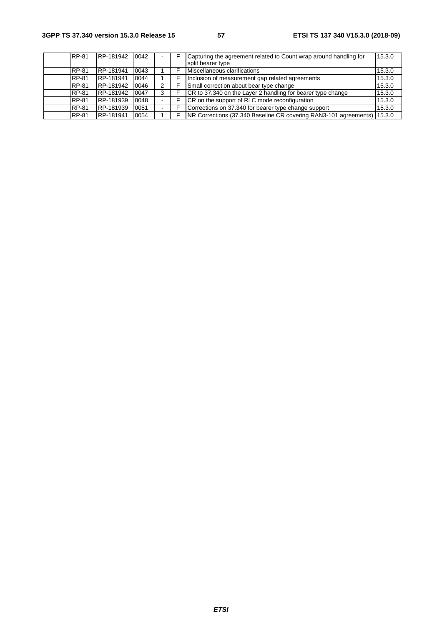| RP-81        | RP-181942        | 0042 |   | Capturing the agreement related to Count wrap around handling for         | 15.3.0 |
|--------------|------------------|------|---|---------------------------------------------------------------------------|--------|
|              |                  |      |   | split bearer type                                                         |        |
| <b>RP-81</b> | <b>RP-181941</b> | 0043 |   | Miscellaneous clarifications                                              | 15.3.0 |
| RP-81        | RP-181941        | 0044 |   | Inclusion of measurement gap related agreements                           | 15.3.0 |
| <b>RP-81</b> | RP-181942        | 0046 | 2 | Small correction about bear type change                                   | 15.3.0 |
| RP-81        | RP-181942        | 0047 | 3 | CR to 37.340 on the Layer 2 handling for bearer type change               | 15.3.0 |
| <b>RP-81</b> | RP-181939        | 0048 |   | CR on the support of RLC mode reconfiguration                             | 15.3.0 |
| <b>RP-81</b> | RP-181939        | 0051 |   | Corrections on 37.340 for bearer type change support                      | 15.3.0 |
| RP-81        | RP-181941        | 0054 |   | NR Corrections (37.340 Baseline CR covering RAN3-101 agreements)   15.3.0 |        |